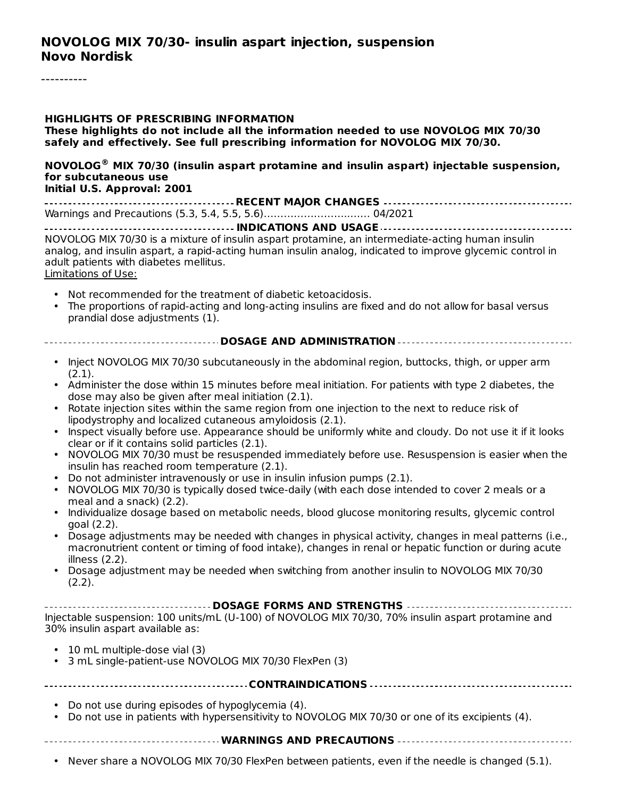#### **HIGHLIGHTS OF PRESCRIBING INFORMATION**

**These highlights do not include all the information needed to use NOVOLOG MIX 70/30 safely and effectively. See full prescribing information for NOVOLOG MIX 70/30.**

**NOVOLOG MIX 70/30 (insulin aspart protamine and insulin aspart) injectable suspension, ® for subcutaneous use Initial U.S. Approval: 2001**

| $P = 100$ |  |  |  |
|-----------|--|--|--|

**INDICATIONS AND USAGE** NOVOLOG MIX 70/30 is a mixture of insulin aspart protamine, an intermediate-acting human insulin analog, and insulin aspart, a rapid-acting human insulin analog, indicated to improve glycemic control in adult patients with diabetes mellitus.

Limitations of Use:

- Not recommended for the treatment of diabetic ketoacidosis.
- The proportions of rapid-acting and long-acting insulins are fixed and do not allow for basal versus prandial dose adjustments (1).

#### **DOSAGE AND ADMINISTRATION**

- Inject NOVOLOG MIX 70/30 subcutaneously in the abdominal region, buttocks, thigh, or upper arm (2.1).
- Administer the dose within 15 minutes before meal initiation. For patients with type 2 diabetes, the dose may also be given after meal initiation (2.1).
- Rotate injection sites within the same region from one injection to the next to reduce risk of lipodystrophy and localized cutaneous amyloidosis (2.1).
- Inspect visually before use. Appearance should be uniformly white and cloudy. Do not use it if it looks clear or if it contains solid particles (2.1).
- NOVOLOG MIX 70/30 must be resuspended immediately before use. Resuspension is easier when the insulin has reached room temperature (2.1).
- Do not administer intravenously or use in insulin infusion pumps (2.1).
- NOVOLOG MIX 70/30 is typically dosed twice-daily (with each dose intended to cover 2 meals or a meal and a snack) (2.2).
- Individualize dosage based on metabolic needs, blood glucose monitoring results, glycemic control goal (2.2).
- Dosage adjustments may be needed with changes in physical activity, changes in meal patterns (i.e., macronutrient content or timing of food intake), changes in renal or hepatic function or during acute illness (2.2).
- Dosage adjustment may be needed when switching from another insulin to NOVOLOG MIX 70/30 (2.2).

#### **DOSAGE FORMS AND STRENGTHS**

Injectable suspension: 100 units/mL (U-100) of NOVOLOG MIX 70/30, 70% insulin aspart protamine and 30% insulin aspart available as:

- 10 mL multiple-dose vial (3)
- 3 mL single-patient-use NOVOLOG MIX 70/30 FlexPen (3)

**CONTRAINDICATIONS**

- Do not use during episodes of hypoglycemia (4).
- Do not use in patients with hypersensitivity to NOVOLOG MIX 70/30 or one of its excipients (4).

**WARNINGS AND PRECAUTIONS**

• Never share a NOVOLOG MIX 70/30 FlexPen between patients, even if the needle is changed (5.1).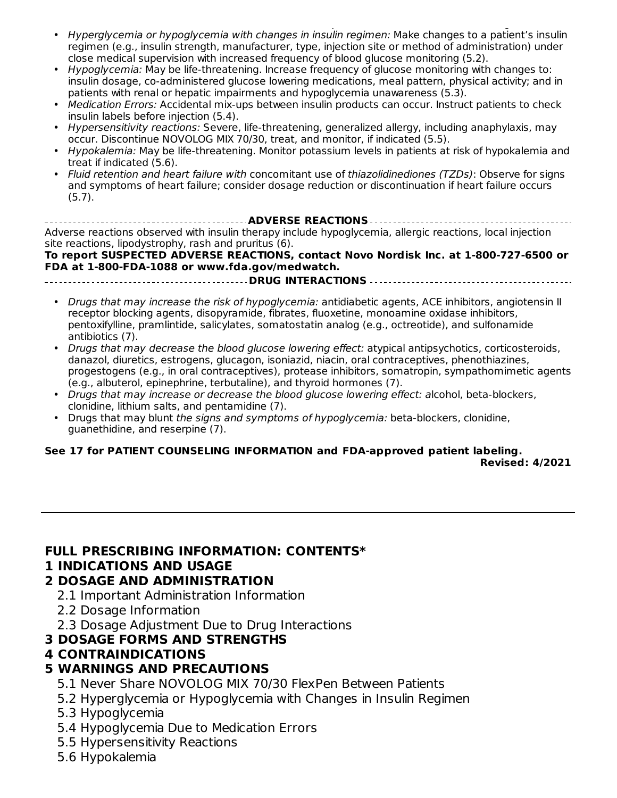- Never share a NOVOLOG MIX 70/30 FlexPen between patients, even if the needle is changed (5.1). Hyperglycemia or hypoglycemia with changes in insulin regimen: Make changes to a patient's insulin regimen (e.g., insulin strength, manufacturer, type, injection site or method of administration) under close medical supervision with increased frequency of blood glucose monitoring (5.2).
- Hypoglycemia: May be life-threatening. Increase frequency of glucose monitoring with changes to: insulin dosage, co-administered glucose lowering medications, meal pattern, physical activity; and in patients with renal or hepatic impairments and hypoglycemia unawareness (5.3).
- Medication Errors: Accidental mix-ups between insulin products can occur. Instruct patients to check insulin labels before injection (5.4).
- Hypersensitivity reactions: Severe, life-threatening, generalized allergy, including anaphylaxis, may occur. Discontinue NOVOLOG MIX 70/30, treat, and monitor, if indicated (5.5).
- Hypokalemia: May be life-threatening. Monitor potassium levels in patients at risk of hypokalemia and treat if indicated (5.6).
- Fluid retention and heart failure with concomitant use of thiazolidinediones (TZDs): Observe for signs and symptoms of heart failure; consider dosage reduction or discontinuation if heart failure occurs (5.7).

**ADVERSE REACTIONS** Adverse reactions observed with insulin therapy include hypoglycemia, allergic reactions, local injection site reactions, lipodystrophy, rash and pruritus (6).

**To report SUSPECTED ADVERSE REACTIONS, contact Novo Nordisk Inc. at 1-800-727-6500 or FDA at 1-800-FDA-1088 or www.fda.gov/medwatch.**

**DRUG INTERACTIONS**

- Drugs that may increase the risk of hypoglycemia: antidiabetic agents, ACE inhibitors, angiotensin II receptor blocking agents, disopyramide, fibrates, fluoxetine, monoamine oxidase inhibitors, pentoxifylline, pramlintide, salicylates, somatostatin analog (e.g., octreotide), and sulfonamide antibiotics (7).
- Drugs that may decrease the blood glucose lowering effect: atypical antipsychotics, corticosteroids, danazol, diuretics, estrogens, glucagon, isoniazid, niacin, oral contraceptives, phenothiazines, progestogens (e.g., in oral contraceptives), protease inhibitors, somatropin, sympathomimetic agents (e.g., albuterol, epinephrine, terbutaline), and thyroid hormones (7).
- Drugs that may increase or decrease the blood glucose lowering effect: alcohol, beta-blockers, clonidine, lithium salts, and pentamidine (7).
- Drugs that may blunt the signs and symptoms of hypoglycemia: beta-blockers, clonidine, guanethidine, and reserpine (7).

#### **See 17 for PATIENT COUNSELING INFORMATION and FDA-approved patient labeling. Revised: 4/2021**

#### **FULL PRESCRIBING INFORMATION: CONTENTS\***

#### **1 INDICATIONS AND USAGE**

#### **2 DOSAGE AND ADMINISTRATION**

- 2.1 Important Administration Information
- 2.2 Dosage Information
- 2.3 Dosage Adjustment Due to Drug Interactions

#### **3 DOSAGE FORMS AND STRENGTHS**

#### **4 CONTRAINDICATIONS**

### **5 WARNINGS AND PRECAUTIONS**

- 5.1 Never Share NOVOLOG MIX 70/30 FlexPen Between Patients
- 5.2 Hyperglycemia or Hypoglycemia with Changes in Insulin Regimen
- 5.3 Hypoglycemia
- 5.4 Hypoglycemia Due to Medication Errors
- 5.5 Hypersensitivity Reactions
- 5.6 Hypokalemia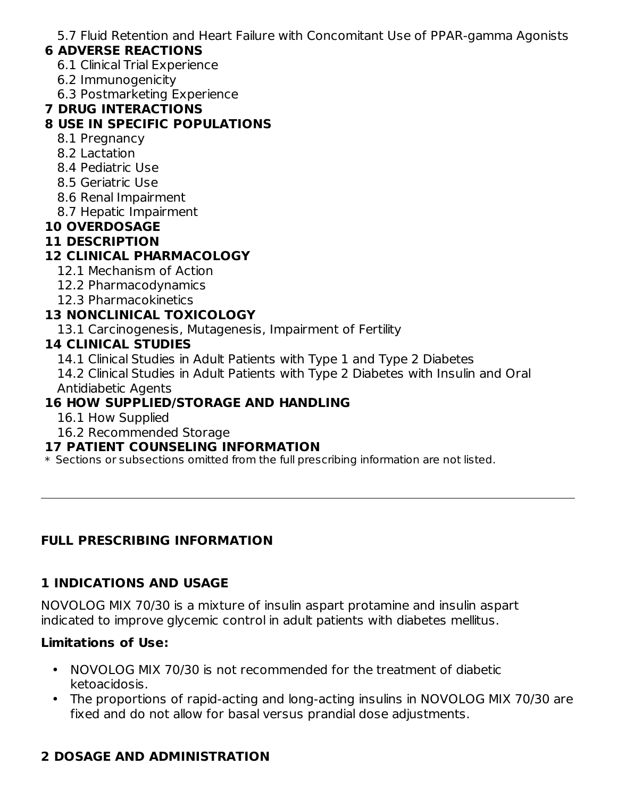5.7 Fluid Retention and Heart Failure with Concomitant Use of PPAR-gamma Agonists

### **6 ADVERSE REACTIONS**

- 6.1 Clinical Trial Experience
- 6.2 Immunogenicity
- 6.3 Postmarketing Experience

#### **7 DRUG INTERACTIONS**

#### **8 USE IN SPECIFIC POPULATIONS**

- 8.1 Pregnancy
- 8.2 Lactation
- 8.4 Pediatric Use
- 8.5 Geriatric Use
- 8.6 Renal Impairment
- 8.7 Hepatic Impairment

### **10 OVERDOSAGE**

#### **11 DESCRIPTION**

### **12 CLINICAL PHARMACOLOGY**

- 12.1 Mechanism of Action
- 12.2 Pharmacodynamics
- 12.3 Pharmacokinetics

### **13 NONCLINICAL TOXICOLOGY**

13.1 Carcinogenesis, Mutagenesis, Impairment of Fertility

#### **14 CLINICAL STUDIES**

- 14.1 Clinical Studies in Adult Patients with Type 1 and Type 2 Diabetes
- 14.2 Clinical Studies in Adult Patients with Type 2 Diabetes with Insulin and Oral Antidiabetic Agents

# **16 HOW SUPPLIED/STORAGE AND HANDLING**

- 16.1 How Supplied
- 16.2 Recommended Storage

#### **17 PATIENT COUNSELING INFORMATION**

\* Sections or subsections omitted from the full prescribing information are not listed.

### **FULL PRESCRIBING INFORMATION**

### **1 INDICATIONS AND USAGE**

NOVOLOG MIX 70/30 is a mixture of insulin aspart protamine and insulin aspart indicated to improve glycemic control in adult patients with diabetes mellitus.

#### **Limitations of Use:**

- NOVOLOG MIX 70/30 is not recommended for the treatment of diabetic ketoacidosis.
- The proportions of rapid-acting and long-acting insulins in NOVOLOG MIX 70/30 are fixed and do not allow for basal versus prandial dose adjustments.

# **2 DOSAGE AND ADMINISTRATION**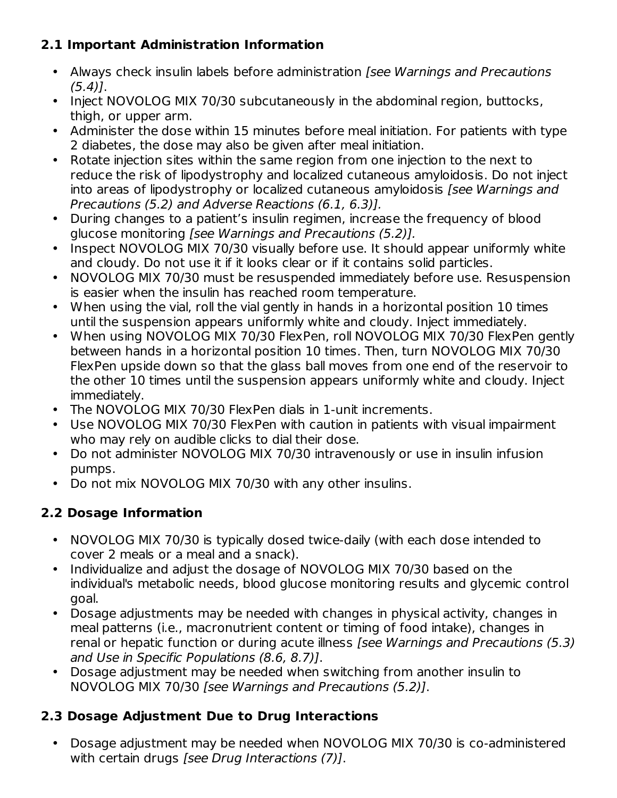# **2.1 Important Administration Information**

- Always check insulin labels before administration [see Warnings and Precautions  $(5.4)$ .
- Inject NOVOLOG MIX 70/30 subcutaneously in the abdominal region, buttocks, thigh, or upper arm.
- Administer the dose within 15 minutes before meal initiation. For patients with type 2 diabetes, the dose may also be given after meal initiation.
- Rotate injection sites within the same region from one injection to the next to reduce the risk of lipodystrophy and localized cutaneous amyloidosis. Do not inject into areas of lipodystrophy or localized cutaneous amyloidosis [see Warnings and Precautions (5.2) and Adverse Reactions (6.1, 6.3)].
- During changes to a patient's insulin regimen, increase the frequency of blood glucose monitoring [see Warnings and Precautions (5.2)].
- Inspect NOVOLOG MIX 70/30 visually before use. It should appear uniformly white and cloudy. Do not use it if it looks clear or if it contains solid particles.
- NOVOLOG MIX 70/30 must be resuspended immediately before use. Resuspension is easier when the insulin has reached room temperature.
- When using the vial, roll the vial gently in hands in a horizontal position 10 times until the suspension appears uniformly white and cloudy. Inject immediately.
- When using NOVOLOG MIX 70/30 FlexPen, roll NOVOLOG MIX 70/30 FlexPen gently between hands in a horizontal position 10 times. Then, turn NOVOLOG MIX 70/30 FlexPen upside down so that the glass ball moves from one end of the reservoir to the other 10 times until the suspension appears uniformly white and cloudy. Inject immediately.
- The NOVOLOG MIX 70/30 FlexPen dials in 1-unit increments.
- Use NOVOLOG MIX 70/30 FlexPen with caution in patients with visual impairment who may rely on audible clicks to dial their dose.
- Do not administer NOVOLOG MIX 70/30 intravenously or use in insulin infusion pumps.
- Do not mix NOVOLOG MIX 70/30 with any other insulins.

# **2.2 Dosage Information**

- NOVOLOG MIX 70/30 is typically dosed twice-daily (with each dose intended to cover 2 meals or a meal and a snack).
- Individualize and adjust the dosage of NOVOLOG MIX 70/30 based on the individual's metabolic needs, blood glucose monitoring results and glycemic control goal.
- Dosage adjustments may be needed with changes in physical activity, changes in meal patterns (i.e., macronutrient content or timing of food intake), changes in renal or hepatic function or during acute illness [see Warnings and Precautions (5.3) and Use in Specific Populations (8.6, 8.7)].
- Dosage adjustment may be needed when switching from another insulin to NOVOLOG MIX 70/30 [see Warnings and Precautions (5.2)].

# **2.3 Dosage Adjustment Due to Drug Interactions**

• Dosage adjustment may be needed when NOVOLOG MIX 70/30 is co-administered with certain drugs [see Drug Interactions (7)].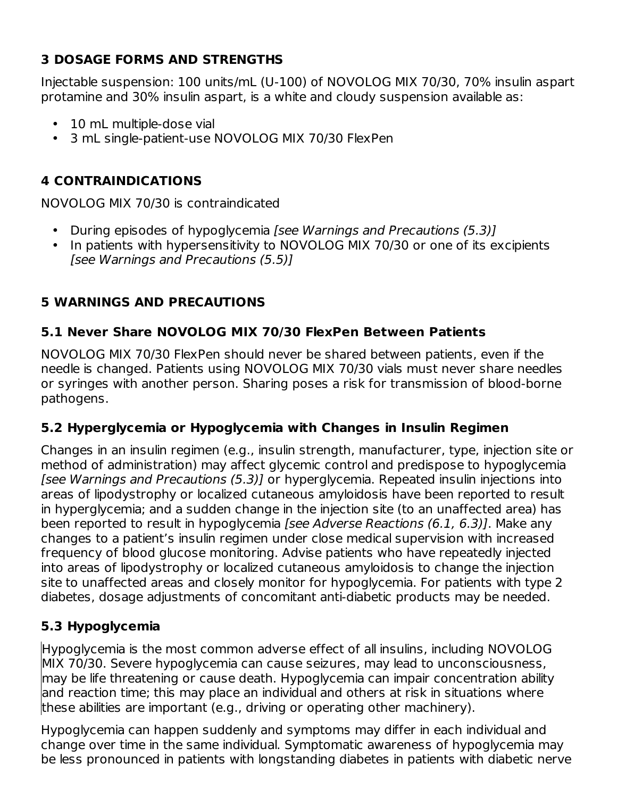# **3 DOSAGE FORMS AND STRENGTHS**

Injectable suspension: 100 units/mL (U-100) of NOVOLOG MIX 70/30, 70% insulin aspart protamine and 30% insulin aspart, is a white and cloudy suspension available as:

- 10 mL multiple-dose vial
- 3 mL single-patient-use NOVOLOG MIX 70/30 FlexPen

# **4 CONTRAINDICATIONS**

NOVOLOG MIX 70/30 is contraindicated

- During episodes of hypoglycemia [see Warnings and Precautions (5.3)]
- In patients with hypersensitivity to NOVOLOG MIX 70/30 or one of its excipients [see Warnings and Precautions (5.5)]

# **5 WARNINGS AND PRECAUTIONS**

# **5.1 Never Share NOVOLOG MIX 70/30 FlexPen Between Patients**

NOVOLOG MIX 70/30 FlexPen should never be shared between patients, even if the needle is changed. Patients using NOVOLOG MIX 70/30 vials must never share needles or syringes with another person. Sharing poses a risk for transmission of blood-borne pathogens.

# **5.2 Hyperglycemia or Hypoglycemia with Changes in Insulin Regimen**

Changes in an insulin regimen (e.g., insulin strength, manufacturer, type, injection site or method of administration) may affect glycemic control and predispose to hypoglycemia [see Warnings and Precautions (5.3)] or hyperglycemia. Repeated insulin injections into areas of lipodystrophy or localized cutaneous amyloidosis have been reported to result in hyperglycemia; and a sudden change in the injection site (to an unaffected area) has been reported to result in hypoglycemia [see Adverse Reactions (6.1, 6.3)]. Make any changes to a patient's insulin regimen under close medical supervision with increased frequency of blood glucose monitoring. Advise patients who have repeatedly injected into areas of lipodystrophy or localized cutaneous amyloidosis to change the injection site to unaffected areas and closely monitor for hypoglycemia. For patients with type 2 diabetes, dosage adjustments of concomitant anti-diabetic products may be needed.

# **5.3 Hypoglycemia**

Hypoglycemia is the most common adverse effect of all insulins, including NOVOLOG MIX 70/30. Severe hypoglycemia can cause seizures, may lead to unconsciousness, may be life threatening or cause death. Hypoglycemia can impair concentration ability and reaction time; this may place an individual and others at risk in situations where these abilities are important (e.g., driving or operating other machinery).

Hypoglycemia can happen suddenly and symptoms may differ in each individual and change over time in the same individual. Symptomatic awareness of hypoglycemia may be less pronounced in patients with longstanding diabetes in patients with diabetic nerve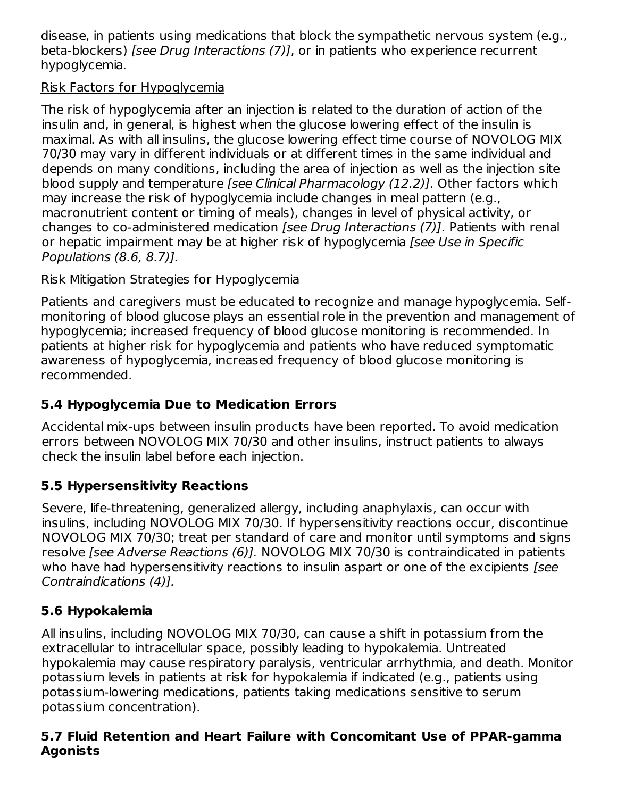disease, in patients using medications that block the sympathetic nervous system (e.g., beta-blockers) [see Drug Interactions (7)], or in patients who experience recurrent hypoglycemia.

# Risk Factors for Hypoglycemia

The risk of hypoglycemia after an injection is related to the duration of action of the insulin and, in general, is highest when the glucose lowering effect of the insulin is maximal. As with all insulins, the glucose lowering effect time course of NOVOLOG MIX 70/30 may vary in different individuals or at different times in the same individual and depends on many conditions, including the area of injection as well as the injection site blood supply and temperature [see Clinical Pharmacology (12.2)]. Other factors which may increase the risk of hypoglycemia include changes in meal pattern (e.g., macronutrient content or timing of meals), changes in level of physical activity, or changes to co-administered medication *[see Drug Interactions (7)]*. Patients with renal or hepatic impairment may be at higher risk of hypoglycemia [see Use in Specific Populations (8.6, 8.7)].

# Risk Mitigation Strategies for Hypoglycemia

Patients and caregivers must be educated to recognize and manage hypoglycemia. Selfmonitoring of blood glucose plays an essential role in the prevention and management of hypoglycemia; increased frequency of blood glucose monitoring is recommended. In patients at higher risk for hypoglycemia and patients who have reduced symptomatic awareness of hypoglycemia, increased frequency of blood glucose monitoring is recommended.

# **5.4 Hypoglycemia Due to Medication Errors**

Accidental mix-ups between insulin products have been reported. To avoid medication errors between NOVOLOG MIX 70/30 and other insulins, instruct patients to always check the insulin label before each injection.

# **5.5 Hypersensitivity Reactions**

Severe, life-threatening, generalized allergy, including anaphylaxis, can occur with insulins, including NOVOLOG MIX 70/30. If hypersensitivity reactions occur, discontinue NOVOLOG MIX 70/30; treat per standard of care and monitor until symptoms and signs resolve [see Adverse Reactions (6)]. NOVOLOG MIX 70/30 is contraindicated in patients who have had hypersensitivity reactions to insulin aspart or one of the excipients *[see*] Contraindications (4)].

# **5.6 Hypokalemia**

All insulins, including NOVOLOG MIX 70/30, can cause a shift in potassium from the extracellular to intracellular space, possibly leading to hypokalemia. Untreated hypokalemia may cause respiratory paralysis, ventricular arrhythmia, and death. Monitor potassium levels in patients at risk for hypokalemia if indicated (e.g., patients using potassium-lowering medications, patients taking medications sensitive to serum potassium concentration).

# **5.7 Fluid Retention and Heart Failure with Concomitant Use of PPAR-gamma Agonists**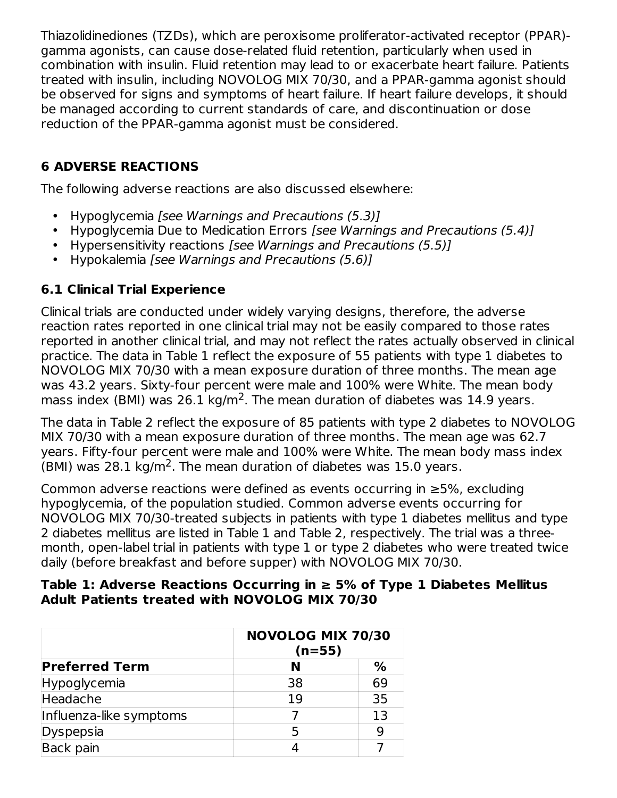Thiazolidinediones (TZDs), which are peroxisome proliferator-activated receptor (PPAR) gamma agonists, can cause dose-related fluid retention, particularly when used in combination with insulin. Fluid retention may lead to or exacerbate heart failure. Patients treated with insulin, including NOVOLOG MIX 70/30, and a PPAR-gamma agonist should be observed for signs and symptoms of heart failure. If heart failure develops, it should be managed according to current standards of care, and discontinuation or dose reduction of the PPAR-gamma agonist must be considered.

# **6 ADVERSE REACTIONS**

The following adverse reactions are also discussed elsewhere:

- Hypoglycemia [see Warnings and Precautions (5.3)]
- Hypoglycemia Due to Medication Errors [see Warnings and Precautions (5.4)]
- Hypersensitivity reactions [see Warnings and Precautions (5.5)]
- Hypokalemia [see Warnings and Precautions (5.6)]

# **6.1 Clinical Trial Experience**

Clinical trials are conducted under widely varying designs, therefore, the adverse reaction rates reported in one clinical trial may not be easily compared to those rates reported in another clinical trial, and may not reflect the rates actually observed in clinical practice. The data in Table 1 reflect the exposure of 55 patients with type 1 diabetes to NOVOLOG MIX 70/30 with a mean exposure duration of three months. The mean age was 43.2 years. Sixty-four percent were male and 100% were White. The mean body mass index (BMI) was 26.1 kg/m<sup>2</sup>. The mean duration of diabetes was 14.9 years.

The data in Table 2 reflect the exposure of 85 patients with type 2 diabetes to NOVOLOG MIX 70/30 with a mean exposure duration of three months. The mean age was 62.7 years. Fifty-four percent were male and 100% were White. The mean body mass index (BMI) was 28.1 kg/m<sup>2</sup>. The mean duration of diabetes was 15.0 years.

Common adverse reactions were defined as events occurring in ≥5%, excluding hypoglycemia, of the population studied. Common adverse events occurring for NOVOLOG MIX 70/30-treated subjects in patients with type 1 diabetes mellitus and type 2 diabetes mellitus are listed in Table 1 and Table 2, respectively. The trial was a threemonth, open-label trial in patients with type 1 or type 2 diabetes who were treated twice daily (before breakfast and before supper) with NOVOLOG MIX 70/30.

#### **Table 1: Adverse Reactions Occurring in ≥ 5% of Type 1 Diabetes Mellitus Adult Patients treated with NOVOLOG MIX 70/30**

| <b>NOVOLOG MIX 70/30</b><br>$(n=55)$ |    |  |
|--------------------------------------|----|--|
| N                                    | %  |  |
| 38                                   | 69 |  |
| 19                                   | 35 |  |
|                                      | 13 |  |
|                                      |    |  |
|                                      |    |  |
|                                      |    |  |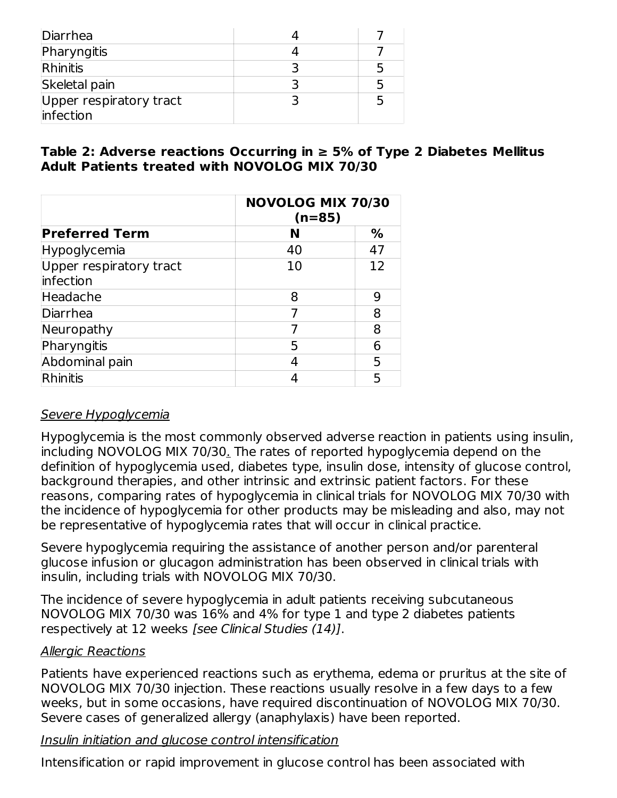| Diarrhea                             |  |
|--------------------------------------|--|
| Pharyngitis                          |  |
| Rhinitis                             |  |
| Skeletal pain                        |  |
| Upper respiratory tract<br>infection |  |

#### **Table 2: Adverse reactions Occurring in ≥ 5% of Type 2 Diabetes Mellitus Adult Patients treated with NOVOLOG MIX 70/30**

|                                      | <b>NOVOLOG MIX 70/30</b><br>$(n=85)$ |    |  |
|--------------------------------------|--------------------------------------|----|--|
| <b>Preferred Term</b>                | N                                    | ℅  |  |
| Hypoglycemia                         | 40                                   | 47 |  |
| Upper respiratory tract<br>infection | 10                                   | 12 |  |
| Headache                             | 8                                    | 9  |  |
| Diarrhea                             |                                      | 8  |  |
| Neuropathy                           |                                      | 8  |  |
| Pharyngitis                          | 5                                    | 6  |  |
| Abdominal pain                       | 4                                    | 5  |  |
| Rhinitis                             |                                      | 5  |  |

#### Severe Hypoglycemia

Hypoglycemia is the most commonly observed adverse reaction in patients using insulin, including NOVOLOG MIX 70/30. The rates of reported hypoglycemia depend on the definition of hypoglycemia used, diabetes type, insulin dose, intensity of glucose control, background therapies, and other intrinsic and extrinsic patient factors. For these reasons, comparing rates of hypoglycemia in clinical trials for NOVOLOG MIX 70/30 with the incidence of hypoglycemia for other products may be misleading and also, may not be representative of hypoglycemia rates that will occur in clinical practice.

Severe hypoglycemia requiring the assistance of another person and/or parenteral glucose infusion or glucagon administration has been observed in clinical trials with insulin, including trials with NOVOLOG MIX 70/30.

The incidence of severe hypoglycemia in adult patients receiving subcutaneous NOVOLOG MIX 70/30 was 16% and 4% for type 1 and type 2 diabetes patients respectively at 12 weeks [see Clinical Studies (14)].

#### Allergic Reactions

Patients have experienced reactions such as erythema, edema or pruritus at the site of NOVOLOG MIX 70/30 injection. These reactions usually resolve in a few days to a few weeks, but in some occasions, have required discontinuation of NOVOLOG MIX 70/30. Severe cases of generalized allergy (anaphylaxis) have been reported.

Insulin initiation and glucose control intensification

Intensification or rapid improvement in glucose control has been associated with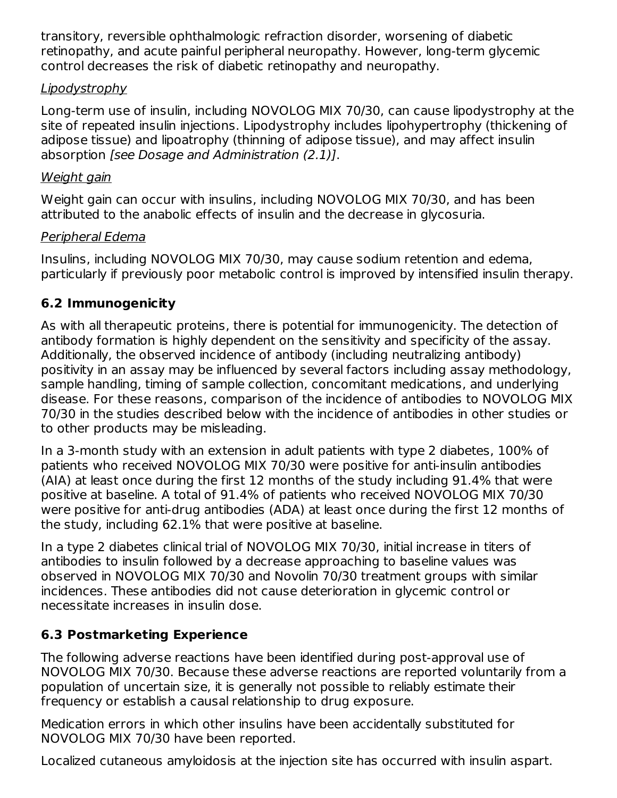transitory, reversible ophthalmologic refraction disorder, worsening of diabetic retinopathy, and acute painful peripheral neuropathy. However, long-term glycemic control decreases the risk of diabetic retinopathy and neuropathy.

### **Lipodystrophy**

Long-term use of insulin, including NOVOLOG MIX 70/30, can cause lipodystrophy at the site of repeated insulin injections. Lipodystrophy includes lipohypertrophy (thickening of adipose tissue) and lipoatrophy (thinning of adipose tissue), and may affect insulin absorption [see Dosage and Administration (2.1)].

#### Weight gain

Weight gain can occur with insulins, including NOVOLOG MIX 70/30, and has been attributed to the anabolic effects of insulin and the decrease in glycosuria.

#### Peripheral Edema

Insulins, including NOVOLOG MIX 70/30, may cause sodium retention and edema, particularly if previously poor metabolic control is improved by intensified insulin therapy.

# **6.2 Immunogenicity**

As with all therapeutic proteins, there is potential for immunogenicity. The detection of antibody formation is highly dependent on the sensitivity and specificity of the assay. Additionally, the observed incidence of antibody (including neutralizing antibody) positivity in an assay may be influenced by several factors including assay methodology, sample handling, timing of sample collection, concomitant medications, and underlying disease. For these reasons, comparison of the incidence of antibodies to NOVOLOG MIX 70/30 in the studies described below with the incidence of antibodies in other studies or to other products may be misleading.

In a 3-month study with an extension in adult patients with type 2 diabetes, 100% of patients who received NOVOLOG MIX 70/30 were positive for anti-insulin antibodies (AIA) at least once during the first 12 months of the study including 91.4% that were positive at baseline. A total of 91.4% of patients who received NOVOLOG MIX 70/30 were positive for anti-drug antibodies (ADA) at least once during the first 12 months of the study, including 62.1% that were positive at baseline.

In a type 2 diabetes clinical trial of NOVOLOG MIX 70/30, initial increase in titers of antibodies to insulin followed by a decrease approaching to baseline values was observed in NOVOLOG MIX 70/30 and Novolin 70/30 treatment groups with similar incidences. These antibodies did not cause deterioration in glycemic control or necessitate increases in insulin dose.

# **6.3 Postmarketing Experience**

The following adverse reactions have been identified during post-approval use of NOVOLOG MIX 70/30. Because these adverse reactions are reported voluntarily from a population of uncertain size, it is generally not possible to reliably estimate their frequency or establish a causal relationship to drug exposure.

Medication errors in which other insulins have been accidentally substituted for NOVOLOG MIX 70/30 have been reported.

Localized cutaneous amyloidosis at the injection site has occurred with insulin aspart.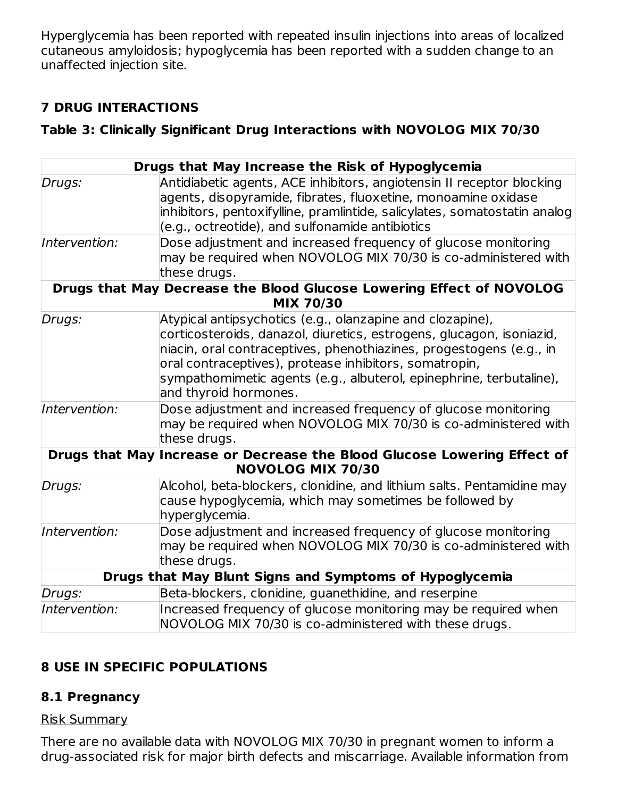Hyperglycemia has been reported with repeated insulin injections into areas of localized cutaneous amyloidosis; hypoglycemia has been reported with a sudden change to an unaffected injection site.

# **7 DRUG INTERACTIONS**

#### **Table 3: Clinically Significant Drug Interactions with NOVOLOG MIX 70/30**

|               | Drugs that May Increase the Risk of Hypoglycemia                                                                                                                                                                                                                                                                                                                   |
|---------------|--------------------------------------------------------------------------------------------------------------------------------------------------------------------------------------------------------------------------------------------------------------------------------------------------------------------------------------------------------------------|
| Drugs:        | Antidiabetic agents, ACE inhibitors, angiotensin II receptor blocking<br>agents, disopyramide, fibrates, fluoxetine, monoamine oxidase<br>inhibitors, pentoxifylline, pramlintide, salicylates, somatostatin analog<br>(e.g., octreotide), and sulfonamide antibiotics                                                                                             |
| Intervention: | Dose adjustment and increased frequency of glucose monitoring<br>may be required when NOVOLOG MIX 70/30 is co-administered with<br>these drugs.                                                                                                                                                                                                                    |
|               | Drugs that May Decrease the Blood Glucose Lowering Effect of NOVOLOG<br><b>MIX 70/30</b>                                                                                                                                                                                                                                                                           |
| Drugs:        | Atypical antipsychotics (e.g., olanzapine and clozapine),<br>corticosteroids, danazol, diuretics, estrogens, glucagon, isoniazid,<br>niacin, oral contraceptives, phenothiazines, progestogens (e.g., in<br>oral contraceptives), protease inhibitors, somatropin,<br>sympathomimetic agents (e.g., albuterol, epinephrine, terbutaline),<br>and thyroid hormones. |
| Intervention: | Dose adjustment and increased frequency of glucose monitoring<br>may be required when NOVOLOG MIX 70/30 is co-administered with<br>these drugs.                                                                                                                                                                                                                    |
|               | Drugs that May Increase or Decrease the Blood Glucose Lowering Effect of<br><b>NOVOLOG MIX 70/30</b>                                                                                                                                                                                                                                                               |
| Drugs:        | Alcohol, beta-blockers, clonidine, and lithium salts. Pentamidine may<br>cause hypoglycemia, which may sometimes be followed by<br>hyperglycemia.                                                                                                                                                                                                                  |
| Intervention: | Dose adjustment and increased frequency of glucose monitoring<br>may be required when NOVOLOG MIX 70/30 is co-administered with<br>these drugs.                                                                                                                                                                                                                    |
|               | Drugs that May Blunt Signs and Symptoms of Hypoglycemia                                                                                                                                                                                                                                                                                                            |
| Drugs:        | Beta-blockers, clonidine, guanethidine, and reserpine                                                                                                                                                                                                                                                                                                              |
| Intervention: | Increased frequency of glucose monitoring may be required when<br>NOVOLOG MIX 70/30 is co-administered with these drugs.                                                                                                                                                                                                                                           |

# **8 USE IN SPECIFIC POPULATIONS**

### **8.1 Pregnancy**

### Risk Summary

There are no available data with NOVOLOG MIX 70/30 in pregnant women to inform a drug-associated risk for major birth defects and miscarriage. Available information from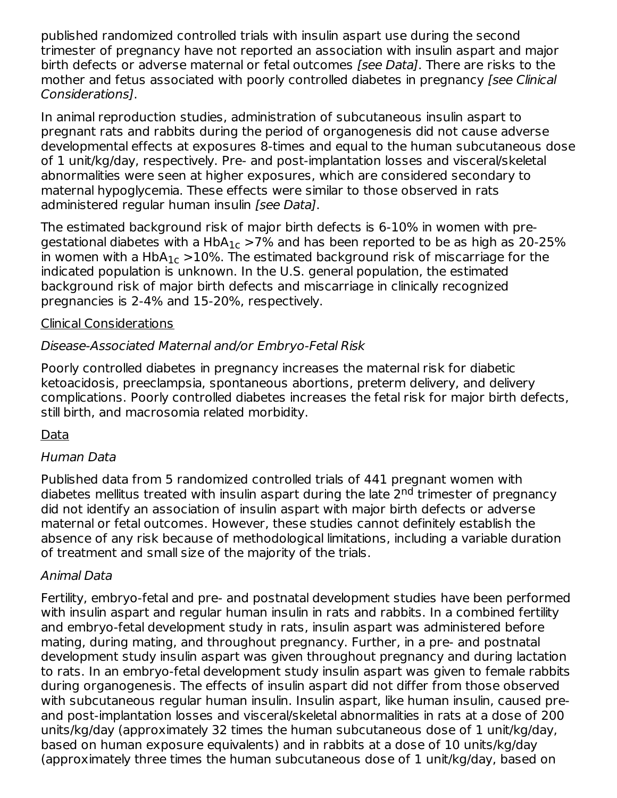published randomized controlled trials with insulin aspart use during the second trimester of pregnancy have not reported an association with insulin aspart and major birth defects or adverse maternal or fetal outcomes [see Data]. There are risks to the mother and fetus associated with poorly controlled diabetes in pregnancy (see Clinical Considerations].

In animal reproduction studies, administration of subcutaneous insulin aspart to pregnant rats and rabbits during the period of organogenesis did not cause adverse developmental effects at exposures 8-times and equal to the human subcutaneous dose of 1 unit/kg/day, respectively. Pre- and post-implantation losses and visceral/skeletal abnormalities were seen at higher exposures, which are considered secondary to maternal hypoglycemia. These effects were similar to those observed in rats administered regular human insulin [see Data].

The estimated background risk of major birth defects is 6-10% in women with pregestational diabetes with a HbA $_{\rm 1c}$  >7% and has been reported to be as high as 20-25% in women with a  $HbA_{1c} > 10\%$ . The estimated background risk of miscarriage for the indicated population is unknown. In the U.S. general population, the estimated background risk of major birth defects and miscarriage in clinically recognized pregnancies is 2-4% and 15-20%, respectively.

#### Clinical Considerations

### Disease-Associated Maternal and/or Embryo-Fetal Risk

Poorly controlled diabetes in pregnancy increases the maternal risk for diabetic ketoacidosis, preeclampsia, spontaneous abortions, preterm delivery, and delivery complications. Poorly controlled diabetes increases the fetal risk for major birth defects, still birth, and macrosomia related morbidity.

#### Data

#### Human Data

Published data from 5 randomized controlled trials of 441 pregnant women with diabetes mellitus treated with insulin aspart during the late 2<sup>nd</sup> trimester of pregnancy did not identify an association of insulin aspart with major birth defects or adverse maternal or fetal outcomes. However, these studies cannot definitely establish the absence of any risk because of methodological limitations, including a variable duration of treatment and small size of the majority of the trials.

#### Animal Data

Fertility, embryo-fetal and pre- and postnatal development studies have been performed with insulin aspart and regular human insulin in rats and rabbits. In a combined fertility and embryo-fetal development study in rats, insulin aspart was administered before mating, during mating, and throughout pregnancy. Further, in a pre- and postnatal development study insulin aspart was given throughout pregnancy and during lactation to rats. In an embryo-fetal development study insulin aspart was given to female rabbits during organogenesis. The effects of insulin aspart did not differ from those observed with subcutaneous regular human insulin. Insulin aspart, like human insulin, caused preand post-implantation losses and visceral/skeletal abnormalities in rats at a dose of 200 units/kg/day (approximately 32 times the human subcutaneous dose of 1 unit/kg/day, based on human exposure equivalents) and in rabbits at a dose of 10 units/kg/day (approximately three times the human subcutaneous dose of 1 unit/kg/day, based on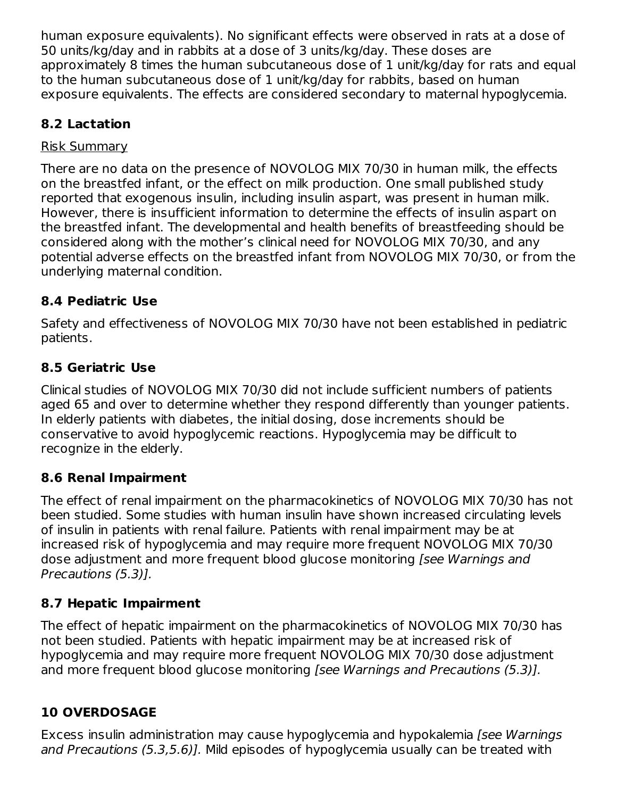human exposure equivalents). No significant effects were observed in rats at a dose of 50 units/kg/day and in rabbits at a dose of 3 units/kg/day. These doses are approximately 8 times the human subcutaneous dose of 1 unit/kg/day for rats and equal to the human subcutaneous dose of 1 unit/kg/day for rabbits, based on human exposure equivalents. The effects are considered secondary to maternal hypoglycemia.

# **8.2 Lactation**

#### Risk Summary

There are no data on the presence of NOVOLOG MIX 70/30 in human milk, the effects on the breastfed infant, or the effect on milk production. One small published study reported that exogenous insulin, including insulin aspart, was present in human milk. However, there is insufficient information to determine the effects of insulin aspart on the breastfed infant. The developmental and health benefits of breastfeeding should be considered along with the mother's clinical need for NOVOLOG MIX 70/30, and any potential adverse effects on the breastfed infant from NOVOLOG MIX 70/30, or from the underlying maternal condition.

# **8.4 Pediatric Use**

Safety and effectiveness of NOVOLOG MIX 70/30 have not been established in pediatric patients.

# **8.5 Geriatric Use**

Clinical studies of NOVOLOG MIX 70/30 did not include sufficient numbers of patients aged 65 and over to determine whether they respond differently than younger patients. In elderly patients with diabetes, the initial dosing, dose increments should be conservative to avoid hypoglycemic reactions. Hypoglycemia may be difficult to recognize in the elderly.

# **8.6 Renal Impairment**

The effect of renal impairment on the pharmacokinetics of NOVOLOG MIX 70/30 has not been studied. Some studies with human insulin have shown increased circulating levels of insulin in patients with renal failure. Patients with renal impairment may be at increased risk of hypoglycemia and may require more frequent NOVOLOG MIX 70/30 dose adjustment and more frequent blood glucose monitoring [see Warnings and Precautions (5.3)].

# **8.7 Hepatic Impairment**

The effect of hepatic impairment on the pharmacokinetics of NOVOLOG MIX 70/30 has not been studied. Patients with hepatic impairment may be at increased risk of hypoglycemia and may require more frequent NOVOLOG MIX 70/30 dose adjustment and more frequent blood glucose monitoring [see Warnings and Precautions (5.3)].

# **10 OVERDOSAGE**

Excess insulin administration may cause hypoglycemia and hypokalemia [see Warnings and Precautions (5.3,5.6)]. Mild episodes of hypoglycemia usually can be treated with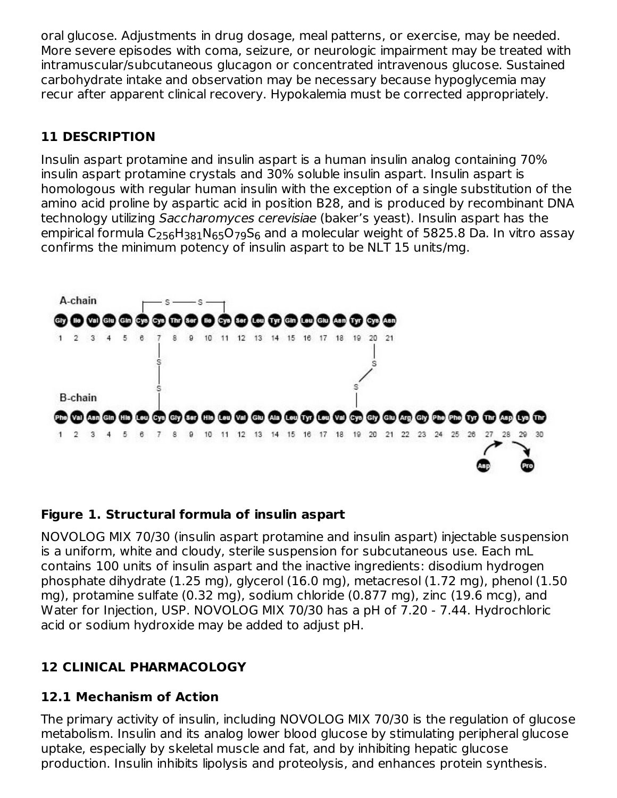oral glucose. Adjustments in drug dosage, meal patterns, or exercise, may be needed. More severe episodes with coma, seizure, or neurologic impairment may be treated with intramuscular/subcutaneous glucagon or concentrated intravenous glucose. Sustained carbohydrate intake and observation may be necessary because hypoglycemia may recur after apparent clinical recovery. Hypokalemia must be corrected appropriately.

# **11 DESCRIPTION**

Insulin aspart protamine and insulin aspart is a human insulin analog containing 70% insulin aspart protamine crystals and 30% soluble insulin aspart. Insulin aspart is homologous with regular human insulin with the exception of a single substitution of the amino acid proline by aspartic acid in position B28, and is produced by recombinant DNA technology utilizing Saccharomyces cerevisiae (baker's yeast). Insulin aspart has the empirical formula C $_{256}$ H $_{381}$ N $_{65}$ O $_{79}$ S $_{6}$  and a molecular weight of 5825.8 Da. In vitro assay confirms the minimum potency of insulin aspart to be NLT 15 units/mg.



### **Figure 1. Structural formula of insulin aspart**

NOVOLOG MIX 70/30 (insulin aspart protamine and insulin aspart) injectable suspension is a uniform, white and cloudy, sterile suspension for subcutaneous use. Each mL contains 100 units of insulin aspart and the inactive ingredients: disodium hydrogen phosphate dihydrate (1.25 mg), glycerol (16.0 mg), metacresol (1.72 mg), phenol (1.50 mg), protamine sulfate (0.32 mg), sodium chloride (0.877 mg), zinc (19.6 mcg), and Water for Injection, USP. NOVOLOG MIX 70/30 has a pH of 7.20 - 7.44. Hydrochloric acid or sodium hydroxide may be added to adjust pH.

# **12 CLINICAL PHARMACOLOGY**

### **12.1 Mechanism of Action**

The primary activity of insulin, including NOVOLOG MIX 70/30 is the regulation of glucose metabolism. Insulin and its analog lower blood glucose by stimulating peripheral glucose uptake, especially by skeletal muscle and fat, and by inhibiting hepatic glucose production. Insulin inhibits lipolysis and proteolysis, and enhances protein synthesis.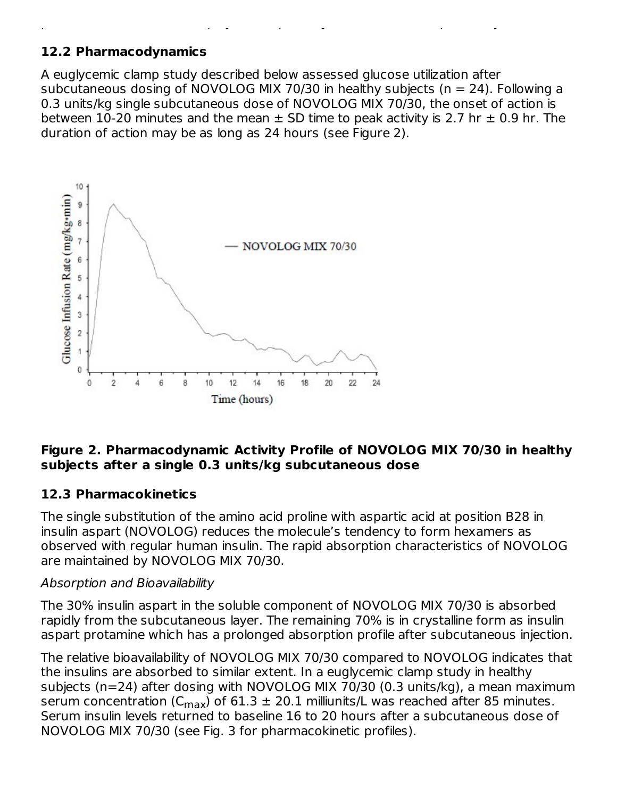### **12.2 Pharmacodynamics**

A euglycemic clamp study described below assessed glucose utilization after subcutaneous dosing of NOVOLOG MIX 70/30 in healthy subjects (n = 24). Following a 0.3 units/kg single subcutaneous dose of NOVOLOG MIX 70/30, the onset of action is between 10-20 minutes and the mean  $\pm$  SD time to peak activity is 2.7 hr  $\pm$  0.9 hr. The duration of action may be as long as 24 hours (see Figure 2).

production. Insulin inhibits lipolysis and proteolysis, and enhances protein synthesis.



#### **Figure 2. Pharmacodynamic Activity Profile of NOVOLOG MIX 70/30 in healthy subjects after a single 0.3 units/kg subcutaneous dose**

#### **12.3 Pharmacokinetics**

The single substitution of the amino acid proline with aspartic acid at position B28 in insulin aspart (NOVOLOG) reduces the molecule's tendency to form hexamers as observed with regular human insulin. The rapid absorption characteristics of NOVOLOG are maintained by NOVOLOG MIX 70/30.

#### Absorption and Bioavailability

The 30% insulin aspart in the soluble component of NOVOLOG MIX 70/30 is absorbed rapidly from the subcutaneous layer. The remaining 70% is in crystalline form as insulin aspart protamine which has a prolonged absorption profile after subcutaneous injection.

The relative bioavailability of NOVOLOG MIX 70/30 compared to NOVOLOG indicates that the insulins are absorbed to similar extent. In a euglycemic clamp study in healthy subjects (n=24) after dosing with NOVOLOG MIX 70/30 (0.3 units/kg), a mean maximum serum concentration (C $_{\sf max}$ ) of 61.3  $\pm$  20.1 milliunits/L was reached after 85 minutes. Serum insulin levels returned to baseline 16 to 20 hours after a subcutaneous dose of NOVOLOG MIX 70/30 (see Fig. 3 for pharmacokinetic profiles).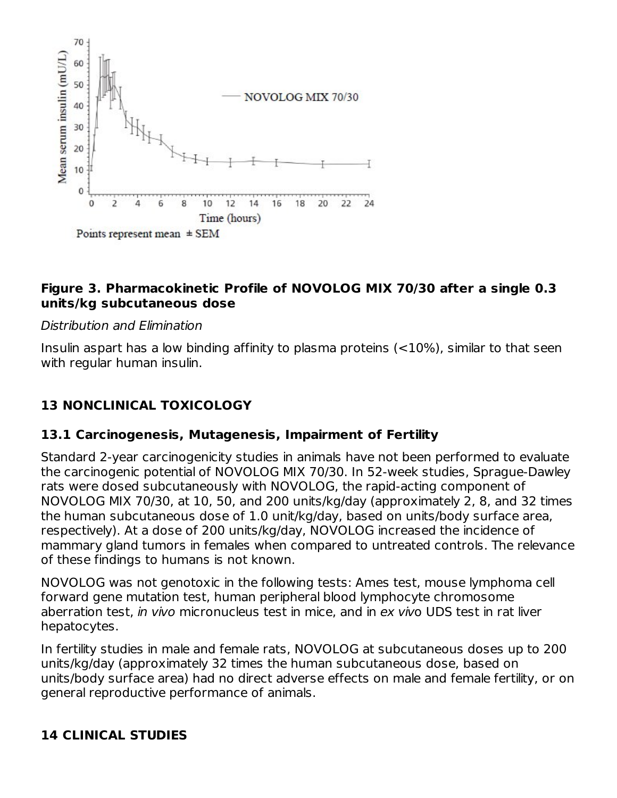

#### **Figure 3. Pharmacokinetic Profile of NOVOLOG MIX 70/30 after a single 0.3 units/kg subcutaneous dose**

#### Distribution and Elimination

Insulin aspart has a low binding affinity to plasma proteins (<10%), similar to that seen with regular human insulin.

# **13 NONCLINICAL TOXICOLOGY**

#### **13.1 Carcinogenesis, Mutagenesis, Impairment of Fertility**

Standard 2-year carcinogenicity studies in animals have not been performed to evaluate the carcinogenic potential of NOVOLOG MIX 70/30. In 52-week studies, Sprague-Dawley rats were dosed subcutaneously with NOVOLOG, the rapid-acting component of NOVOLOG MIX 70/30, at 10, 50, and 200 units/kg/day (approximately 2, 8, and 32 times the human subcutaneous dose of 1.0 unit/kg/day, based on units/body surface area, respectively). At a dose of 200 units/kg/day, NOVOLOG increased the incidence of mammary gland tumors in females when compared to untreated controls. The relevance of these findings to humans is not known.

NOVOLOG was not genotoxic in the following tests: Ames test, mouse lymphoma cell forward gene mutation test, human peripheral blood lymphocyte chromosome aberration test, in vivo micronucleus test in mice, and in ex vivo UDS test in rat liver hepatocytes.

In fertility studies in male and female rats, NOVOLOG at subcutaneous doses up to 200 units/kg/day (approximately 32 times the human subcutaneous dose, based on units/body surface area) had no direct adverse effects on male and female fertility, or on general reproductive performance of animals.

### **14 CLINICAL STUDIES**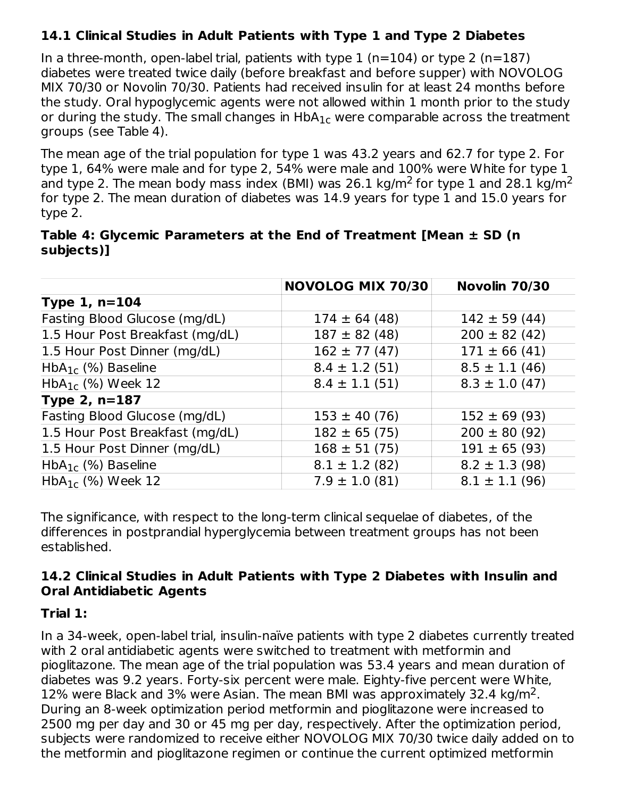# **14.1 Clinical Studies in Adult Patients with Type 1 and Type 2 Diabetes**

In a three-month, open-label trial, patients with type  $1$  (n=104) or type  $2$  (n=187) diabetes were treated twice daily (before breakfast and before supper) with NOVOLOG MIX 70/30 or Novolin 70/30. Patients had received insulin for at least 24 months before the study. Oral hypoglycemic agents were not allowed within 1 month prior to the study or during the study. The small changes in  $\mathsf{HbA_{1c}}$  were comparable across the treatment groups (see Table 4).

The mean age of the trial population for type 1 was 43.2 years and 62.7 for type 2. For type 1, 64% were male and for type 2, 54% were male and 100% were White for type 1 and type 2. The mean body mass index (BMI) was 26.1 kg/m<sup>2</sup> for type 1 and 28.1 kg/m<sup>2</sup> for type 2. The mean duration of diabetes was 14.9 years for type 1 and 15.0 years for type 2.

| Table 4: Glycemic Parameters at the End of Treatment [Mean $\pm$ SD (n |  |  |  |
|------------------------------------------------------------------------|--|--|--|
| subjects)]                                                             |  |  |  |

|                                  | <b>NOVOLOG MIX 70/30</b> | Novolin 70/30      |
|----------------------------------|--------------------------|--------------------|
| Type $1, n=104$                  |                          |                    |
| Fasting Blood Glucose (mg/dL)    | $174 \pm 64(48)$         | $142 \pm 59(44)$   |
| 1.5 Hour Post Breakfast (mg/dL)  | $187 \pm 82$ (48)        | $200 \pm 82(42)$   |
| 1.5 Hour Post Dinner (mg/dL)     | $162 \pm 77(47)$         | $171 \pm 66 (41)$  |
| $HbA_{1c}$ (%) Baseline          | $8.4 \pm 1.2$ (51)       | $8.5 \pm 1.1$ (46) |
| $HbA_{1c}$ (%) Week 12           | $8.4 \pm 1.1$ (51)       | $8.3 \pm 1.0$ (47) |
| Type $2, n=187$                  |                          |                    |
| Fasting Blood Glucose (mg/dL)    | $153 \pm 40 (76)$        | $152 \pm 69 (93)$  |
| 1.5 Hour Post Breakfast (mg/dL)  | $182 \pm 65 (75)$        | $200 \pm 80 (92)$  |
| 1.5 Hour Post Dinner (mg/dL)     | $168 \pm 51 (75)$        | $191 \pm 65 (93)$  |
| $HbA_{1c}$ (%) Baseline          | $8.1 \pm 1.2$ (82)       | $8.2 \pm 1.3$ (98) |
| HbA <sub>1c</sub> $(\%)$ Week 12 | $7.9 \pm 1.0$ (81)       | $8.1 \pm 1.1$ (96) |

The significance, with respect to the long-term clinical sequelae of diabetes, of the differences in postprandial hyperglycemia between treatment groups has not been established.

#### **14.2 Clinical Studies in Adult Patients with Type 2 Diabetes with Insulin and Oral Antidiabetic Agents**

#### **Trial 1:**

In a 34-week, open-label trial, insulin-naïve patients with type 2 diabetes currently treated with 2 oral antidiabetic agents were switched to treatment with metformin and pioglitazone. The mean age of the trial population was 53.4 years and mean duration of diabetes was 9.2 years. Forty-six percent were male. Eighty-five percent were White, 12% were Black and 3% were Asian. The mean BMI was approximately 32.4 kg/m<sup>2</sup>. During an 8-week optimization period metformin and pioglitazone were increased to 2500 mg per day and 30 or 45 mg per day, respectively. After the optimization period, subjects were randomized to receive either NOVOLOG MIX 70/30 twice daily added on to the metformin and pioglitazone regimen or continue the current optimized metformin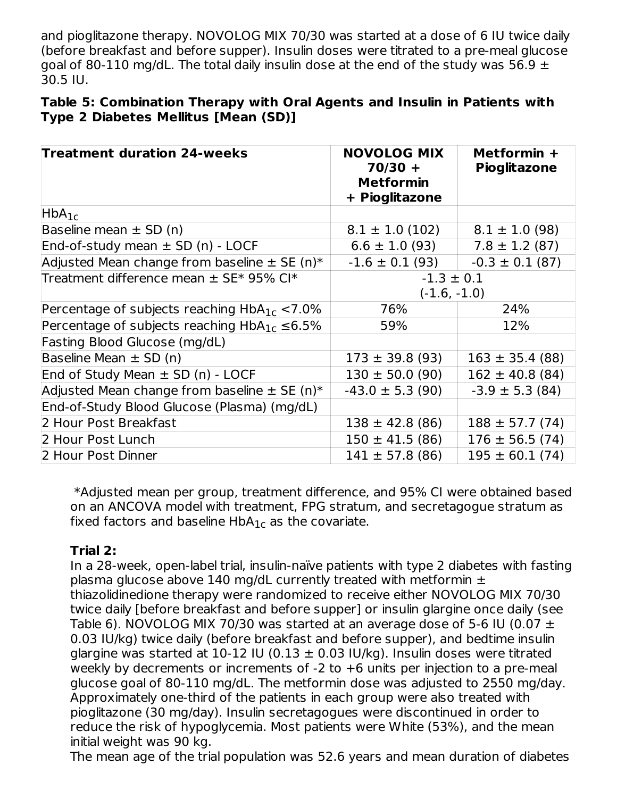and pioglitazone therapy. NOVOLOG MIX 70/30 was started at a dose of 6 IU twice daily (before breakfast and before supper). Insulin doses were titrated to a pre-meal glucose goal of 80-110 mg/dL. The total daily insulin dose at the end of the study was 56.9  $\pm$ 30.5 IU.

#### **Table 5: Combination Therapy with Oral Agents and Insulin in Patients with Type 2 Diabetes Mellitus [Mean (SD)]**

| <b>Treatment duration 24-weeks</b>                    | <b>NOVOLOG MIX</b><br>$70/30 +$<br><b>Metformin</b><br>+ Pioglitazone | Metformin +<br><b>Pioglitazone</b> |
|-------------------------------------------------------|-----------------------------------------------------------------------|------------------------------------|
| $HbA_{1c}$                                            |                                                                       |                                    |
| Baseline mean $\pm$ SD (n)                            | $8.1 \pm 1.0$ (102)                                                   | $8.1 \pm 1.0$ (98)                 |
| End-of-study mean $\pm$ SD (n) - LOCF                 | $6.6 \pm 1.0$ (93)                                                    | $7.8 \pm 1.2$ (87)                 |
| Adjusted Mean change from baseline $\pm$ SE (n)*      | $-1.6 \pm 0.1$ (93)                                                   | $-0.3 \pm 0.1$ (87)                |
| Treatment difference mean ± SE* 95% CI*               | $-1.3 \pm 0.1$<br>$(-1.6, -1.0)$                                      |                                    |
| Percentage of subjects reaching $HbA_{1c} < 7.0\%$    | 76%                                                                   | 24%                                |
| Percentage of subjects reaching $HbA_{1c} \leq 6.5\%$ | 59%                                                                   | 12%                                |
| Fasting Blood Glucose (mg/dL)                         |                                                                       |                                    |
| Baseline Mean $\pm$ SD (n)                            | $173 \pm 39.8$ (93)                                                   | $163 \pm 35.4$ (88)                |
| End of Study Mean $\pm$ SD (n) - LOCF                 | $130 \pm 50.0$ (90)                                                   | $162 \pm 40.8$ (84)                |
| Adjusted Mean change from baseline $\pm$ SE (n)*      | $-43.0 \pm 5.3$ (90)                                                  | $-3.9 \pm 5.3$ (84)                |
| End-of-Study Blood Glucose (Plasma) (mg/dL)           |                                                                       |                                    |
| 2 Hour Post Breakfast                                 | $138 \pm 42.8$ (86)                                                   | $188 \pm 57.7(74)$                 |
| 2 Hour Post Lunch                                     | $150 \pm 41.5$ (86)                                                   | $176 \pm 56.5(74)$                 |
| 2 Hour Post Dinner                                    | $141 \pm 57.8$ (86)                                                   | $195 \pm 60.1$ (74)                |

\*Adjusted mean per group, treatment difference, and 95% CI were obtained based on an ANCOVA model with treatment, FPG stratum, and secretagogue stratum as fixed factors and baseline  $HbA_{1c}$  as the covariate.

### **Trial 2:**

In a 28-week, open-label trial, insulin-naïve patients with type 2 diabetes with fasting plasma glucose above 140 mg/dL currently treated with metformin  $\pm$ thiazolidinedione therapy were randomized to receive either NOVOLOG MIX 70/30 twice daily [before breakfast and before supper] or insulin glargine once daily (see Table 6). NOVOLOG MIX 70/30 was started at an average dose of 5-6 IU (0.07  $\pm$ 0.03 IU/kg) twice daily (before breakfast and before supper), and bedtime insulin glargine was started at 10-12 IU (0.13  $\pm$  0.03 IU/kg). Insulin doses were titrated weekly by decrements or increments of -2 to +6 units per injection to a pre-meal glucose goal of 80-110 mg/dL. The metformin dose was adjusted to 2550 mg/day. Approximately one-third of the patients in each group were also treated with pioglitazone (30 mg/day). Insulin secretagogues were discontinued in order to reduce the risk of hypoglycemia. Most patients were White (53%), and the mean initial weight was 90 kg.

The mean age of the trial population was 52.6 years and mean duration of diabetes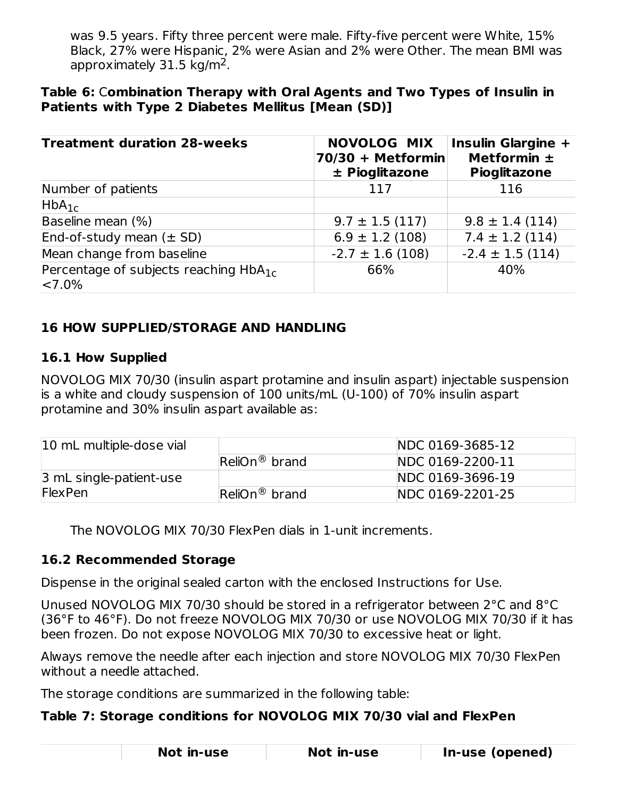was 9.5 years. Fifty three percent were male. Fifty-five percent were White, 15% Black, 27% were Hispanic, 2% were Asian and 2% were Other. The mean BMI was approximately  $31.5 \text{ kg/m}^2$ .

#### **Table 6:** C**ombination Therapy with Oral Agents and Two Types of Insulin in Patients with Type 2 Diabetes Mellitus [Mean (SD)]**

| <b>Treatment duration 28-weeks</b>                            | <b>NOVOLOG MIX</b><br>$70/30 + Metformin$<br>± Pioglitazone | <b>Insulin Glargine +</b><br>Metformin $\pm$<br><b>Pioglitazone</b> |
|---------------------------------------------------------------|-------------------------------------------------------------|---------------------------------------------------------------------|
| Number of patients                                            | 117                                                         | 116                                                                 |
| $HbA_{1c}$                                                    |                                                             |                                                                     |
| Baseline mean (%)                                             | $9.7 \pm 1.5$ (117)                                         | $9.8 \pm 1.4$ (114)                                                 |
| End-of-study mean $(\pm SD)$                                  | $6.9 \pm 1.2$ (108)                                         | $7.4 \pm 1.2$ (114)                                                 |
| Mean change from baseline                                     | $-2.7 \pm 1.6$ (108)                                        | $-2.4 \pm 1.5$ (114)                                                |
| Percentage of subjects reaching HbA <sub>1c</sub><br>$<7.0\%$ | 66%                                                         | 40%                                                                 |

# **16 HOW SUPPLIED/STORAGE AND HANDLING**

#### **16.1 How Supplied**

NOVOLOG MIX 70/30 (insulin aspart protamine and insulin aspart) injectable suspension is a white and cloudy suspension of 100 units/mL (U-100) of 70% insulin aspart protamine and 30% insulin aspart available as:

| 10 mL multiple-dose vial      |                                     | NDC 0169-3685-12 |
|-------------------------------|-------------------------------------|------------------|
|                               | $\mathsf{ReliOn}^{\circledR}$ brand | NDC 0169-2200-11 |
| $\beta$ mL single-patient-use |                                     | NDC 0169-3696-19 |
| <b>FlexPen</b>                | $\mathsf{ReliOn}^{\circledR}$ brand | NDC 0169-2201-25 |

The NOVOLOG MIX 70/30 FlexPen dials in 1-unit increments.

#### **16.2 Recommended Storage**

Dispense in the original sealed carton with the enclosed Instructions for Use.

Unused NOVOLOG MIX 70/30 should be stored in a refrigerator between 2°C and 8°C (36°F to 46°F). Do not freeze NOVOLOG MIX 70/30 or use NOVOLOG MIX 70/30 if it has been frozen. Do not expose NOVOLOG MIX 70/30 to excessive heat or light.

Always remove the needle after each injection and store NOVOLOG MIX 70/30 FlexPen without a needle attached.

The storage conditions are summarized in the following table:

#### **Table 7: Storage conditions for NOVOLOG MIX 70/30 vial and FlexPen**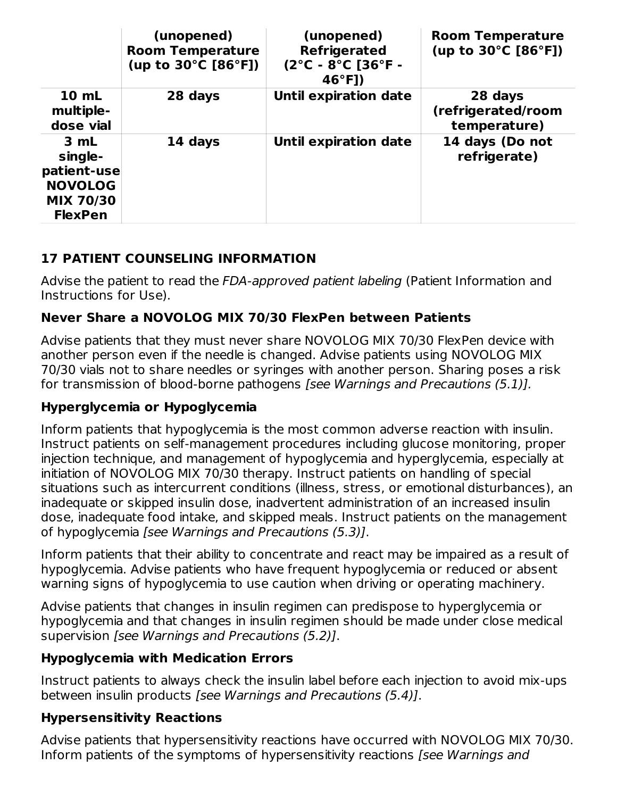|                                                                                        | (unopened)<br><b>Room Temperature</b><br>(up to 30°C [86°F]) | (unopened)<br><b>Refrigerated</b><br>$(2^{\circ}C - 8^{\circ}C)$ [36 $^{\circ}F -$<br>$46°F$ ]) | <b>Room Temperature</b><br>(up to 30°C [86°F]) |
|----------------------------------------------------------------------------------------|--------------------------------------------------------------|-------------------------------------------------------------------------------------------------|------------------------------------------------|
| 10 mL<br>multiple-<br>dose vial                                                        | 28 days                                                      | <b>Until expiration date</b>                                                                    | 28 days<br>(refrigerated/room<br>temperature)  |
| 3 mL<br>single-<br>patient-use<br><b>NOVOLOG</b><br><b>MIX 70/30</b><br><b>FlexPen</b> | 14 days                                                      | <b>Until expiration date</b>                                                                    | 14 days (Do not<br>refrigerate)                |

# **17 PATIENT COUNSELING INFORMATION**

Advise the patient to read the FDA-approved patient labeling (Patient Information and Instructions for Use).

### **Never Share a NOVOLOG MIX 70/30 FlexPen between Patients**

Advise patients that they must never share NOVOLOG MIX 70/30 FlexPen device with another person even if the needle is changed. Advise patients using NOVOLOG MIX 70/30 vials not to share needles or syringes with another person. Sharing poses a risk for transmission of blood-borne pathogens [see Warnings and Precautions (5.1)].

#### **Hyperglycemia or Hypoglycemia**

Inform patients that hypoglycemia is the most common adverse reaction with insulin. Instruct patients on self-management procedures including glucose monitoring, proper injection technique, and management of hypoglycemia and hyperglycemia, especially at initiation of NOVOLOG MIX 70/30 therapy. Instruct patients on handling of special situations such as intercurrent conditions (illness, stress, or emotional disturbances), an inadequate or skipped insulin dose, inadvertent administration of an increased insulin dose, inadequate food intake, and skipped meals. Instruct patients on the management of hypoglycemia [see Warnings and Precautions (5.3)].

Inform patients that their ability to concentrate and react may be impaired as a result of hypoglycemia. Advise patients who have frequent hypoglycemia or reduced or absent warning signs of hypoglycemia to use caution when driving or operating machinery.

Advise patients that changes in insulin regimen can predispose to hyperglycemia or hypoglycemia and that changes in insulin regimen should be made under close medical supervision [see Warnings and Precautions (5.2)].

### **Hypoglycemia with Medication Errors**

Instruct patients to always check the insulin label before each injection to avoid mix-ups between insulin products [see Warnings and Precautions (5.4)].

#### **Hypersensitivity Reactions**

Advise patients that hypersensitivity reactions have occurred with NOVOLOG MIX 70/30. Inform patients of the symptoms of hypersensitivity reactions (see Warnings and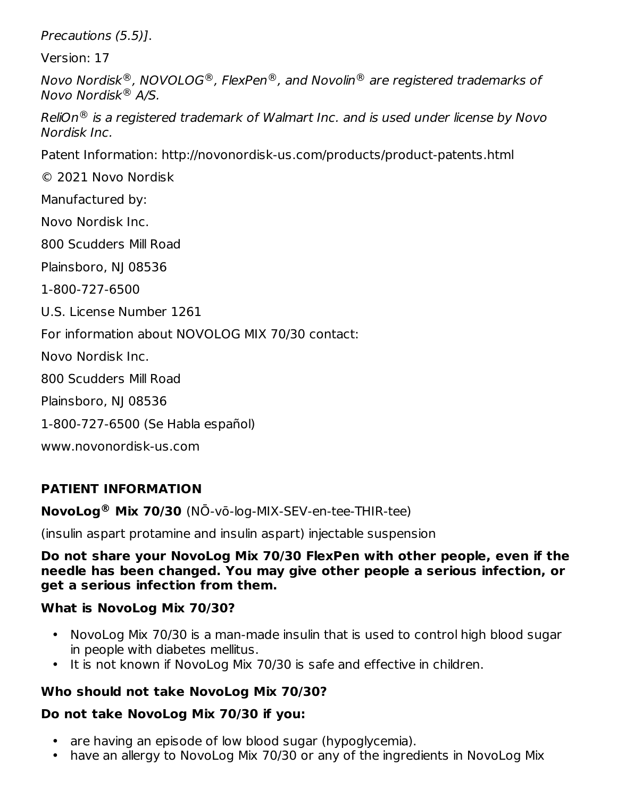Precautions (5.5)].

Version: 17

Novo Nordisk $^{\circledR}$ , NOVOLOG $^{\circledR}$ , FlexPen $^{\circledR}$ , and Novolin $^{\circledR}$  are registered trademarks of Novo Nordisk® A/S.

ReliOn $^\circledR$  is a registered trademark of Walmart Inc. and is used under license by Novo Nordisk Inc.

Patent Information: http://novonordisk-us.com/products/product-patents.html

© 2021 Novo Nordisk

Manufactured by:

Novo Nordisk Inc.

800 Scudders Mill Road

Plainsboro, NJ 08536

1-800-727-6500

U.S. License Number 1261

For information about NOVOLOG MIX 70/30 contact:

Novo Nordisk Inc.

800 Scudders Mill Road

Plainsboro, NJ 08536

1-800-727-6500 (Se Habla español)

www.novonordisk-us.com

### **PATIENT INFORMATION**

**NovoLog<sup>®</sup> Mix 70/30** (NO-vo-log-MIX-SEV-en-tee-THIR-tee)

(insulin aspart protamine and insulin aspart) injectable suspension

**Do not share your NovoLog Mix 70/30 FlexPen with other people, even if the needle has been changed. You may give other people a serious infection, or get a serious infection from them.**

#### **What is NovoLog Mix 70/30?**

- NovoLog Mix 70/30 is a man-made insulin that is used to control high blood sugar in people with diabetes mellitus.
- It is not known if NovoLog Mix 70/30 is safe and effective in children.

### **Who should not take NovoLog Mix 70/30?**

# **Do not take NovoLog Mix 70/30 if you:**

- are having an episode of low blood sugar (hypoglycemia).
- have an allergy to NovoLog Mix 70/30 or any of the ingredients in NovoLog Mix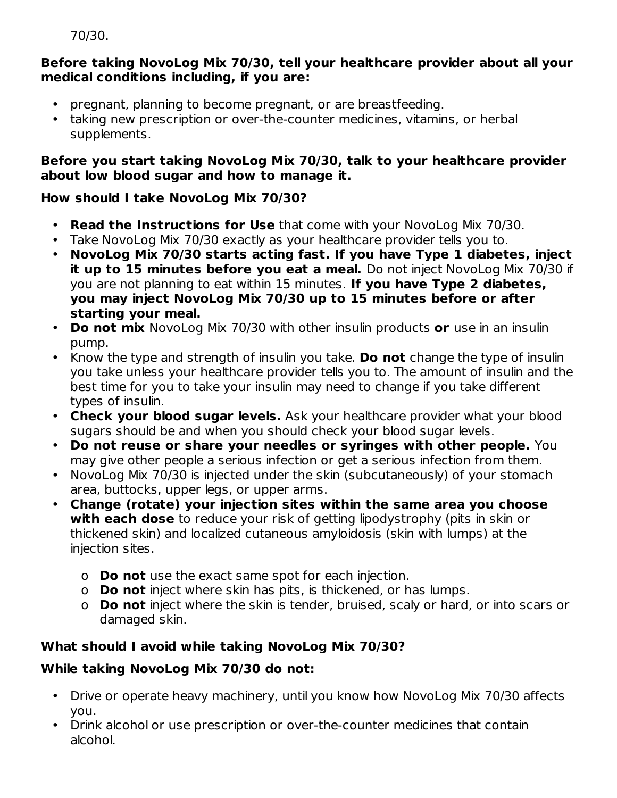```
70/30.
```
#### **Before taking NovoLog Mix 70/30, tell your healthcare provider about all your medical conditions including, if you are:**

- pregnant, planning to become pregnant, or are breastfeeding.
- taking new prescription or over-the-counter medicines, vitamins, or herbal supplements.

## **Before you start taking NovoLog Mix 70/30, talk to your healthcare provider about low blood sugar and how to manage it.**

# **How should I take NovoLog Mix 70/30?**

- **Read the Instructions for Use** that come with your NovoLog Mix 70/30.
- Take NovoLog Mix 70/30 exactly as your healthcare provider tells you to.
- **NovoLog Mix 70/30 starts acting fast. If you have Type 1 diabetes, inject it up to 15 minutes before you eat a meal.** Do not inject NovoLog Mix 70/30 if you are not planning to eat within 15 minutes. **If you have Type 2 diabetes, you may inject NovoLog Mix 70/30 up to 15 minutes before or after starting your meal.**
- **Do not mix** NovoLog Mix 70/30 with other insulin products **or** use in an insulin pump.
- Know the type and strength of insulin you take. **Do not** change the type of insulin you take unless your healthcare provider tells you to. The amount of insulin and the best time for you to take your insulin may need to change if you take different types of insulin.
- **Check your blood sugar levels.** Ask your healthcare provider what your blood sugars should be and when you should check your blood sugar levels.
- **Do not reuse or share your needles or syringes with other people.** You may give other people a serious infection or get a serious infection from them.
- NovoLog Mix 70/30 is injected under the skin (subcutaneously) of your stomach area, buttocks, upper legs, or upper arms.
- **Change (rotate) your injection sites within the same area you choose with each dose** to reduce your risk of getting lipodystrophy (pits in skin or thickened skin) and localized cutaneous amyloidosis (skin with lumps) at the injection sites.
	- o **Do not** use the exact same spot for each injection.
	- o **Do not** inject where skin has pits, is thickened, or has lumps.
	- o **Do not** inject where the skin is tender, bruised, scaly or hard, or into scars or damaged skin.

# **What should I avoid while taking NovoLog Mix 70/30?**

# **While taking NovoLog Mix 70/30 do not:**

- Drive or operate heavy machinery, until you know how NovoLog Mix 70/30 affects you.
- Drink alcohol or use prescription or over-the-counter medicines that contain alcohol.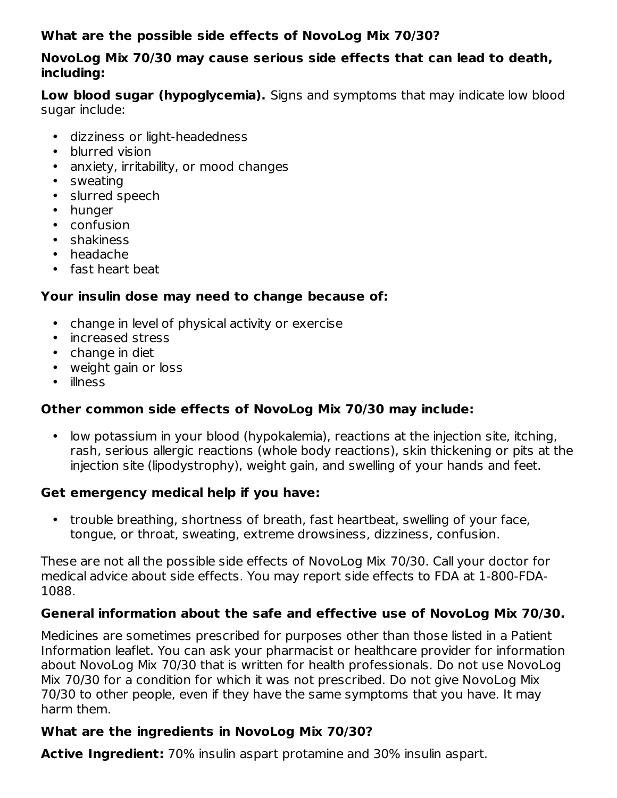#### **What are the possible side effects of NovoLog Mix 70/30?**

#### **NovoLog Mix 70/30 may cause serious side effects that can lead to death, including:**

**Low blood sugar (hypoglycemia).** Signs and symptoms that may indicate low blood sugar include:

- dizziness or light-headedness
- blurred vision
- anxiety, irritability, or mood changes
- sweating
- slurred speech
- hunger
- confusion
- shakiness
- headache
- fast heart beat

#### **Your insulin dose may need to change because of:**

- change in level of physical activity or exercise
- increased stress
- change in diet
- weight gain or loss
- illness

### **Other common side effects of NovoLog Mix 70/30 may include:**

• low potassium in your blood (hypokalemia), reactions at the injection site, itching, rash, serious allergic reactions (whole body reactions), skin thickening or pits at the injection site (lipodystrophy), weight gain, and swelling of your hands and feet.

#### **Get emergency medical help if you have:**

• trouble breathing, shortness of breath, fast heartbeat, swelling of your face, tongue, or throat, sweating, extreme drowsiness, dizziness, confusion.

These are not all the possible side effects of NovoLog Mix 70/30. Call your doctor for medical advice about side effects. You may report side effects to FDA at 1-800-FDA-1088.

### **General information about the safe and effective use of NovoLog Mix 70/30.**

Medicines are sometimes prescribed for purposes other than those listed in a Patient Information leaflet. You can ask your pharmacist or healthcare provider for information about NovoLog Mix 70/30 that is written for health professionals. Do not use NovoLog Mix 70/30 for a condition for which it was not prescribed. Do not give NovoLog Mix 70/30 to other people, even if they have the same symptoms that you have. It may harm them.

### **What are the ingredients in NovoLog Mix 70/30?**

**Active Ingredient:** 70% insulin aspart protamine and 30% insulin aspart.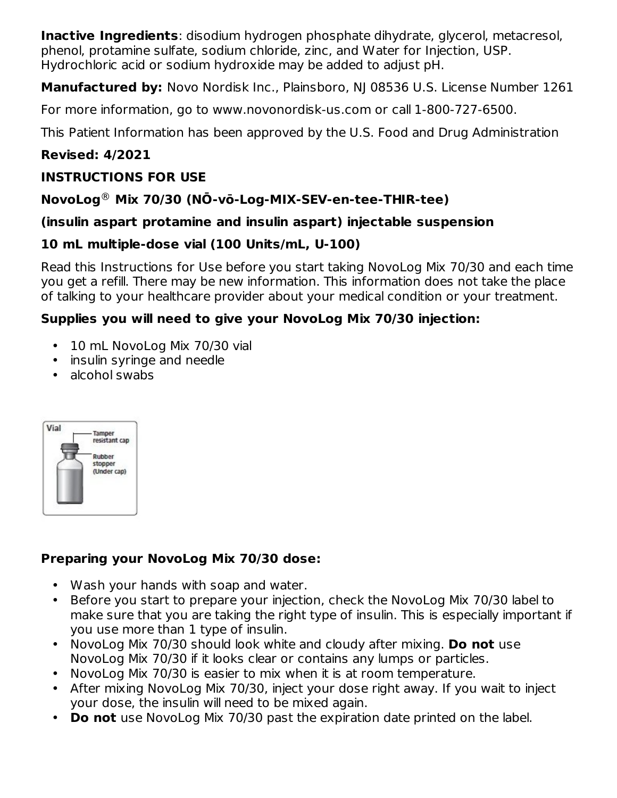**Inactive Ingredients**: disodium hydrogen phosphate dihydrate, glycerol, metacresol, phenol, protamine sulfate, sodium chloride, zinc, and Water for Injection, USP. Hydrochloric acid or sodium hydroxide may be added to adjust pH.

**Manufactured by:** Novo Nordisk Inc., Plainsboro, NJ 08536 U.S. License Number 1261

For more information, go to www.novonordisk-us.com or call 1-800-727-6500.

This Patient Information has been approved by the U.S. Food and Drug Administration

### **Revised: 4/2021**

#### **INSTRUCTIONS FOR USE**

## **NovoLog Mix 70/30 (NŌ-vō-Log-MIX-SEV-en-tee-THIR-tee)** ®

#### **(insulin aspart protamine and insulin aspart) injectable suspension**

### **10 mL multiple-dose vial (100 Units/mL, U-100)**

Read this Instructions for Use before you start taking NovoLog Mix 70/30 and each time you get a refill. There may be new information. This information does not take the place of talking to your healthcare provider about your medical condition or your treatment.

#### **Supplies you will need to give your NovoLog Mix 70/30 injection:**

- $\bullet$ 10 mL NovoLog Mix 70/30 vial
- insulin syringe and needle
- alcohol swabs



### **Preparing your NovoLog Mix 70/30 dose:**

- Wash your hands with soap and water.
- Before you start to prepare your injection, check the NovoLog Mix 70/30 label to make sure that you are taking the right type of insulin. This is especially important if you use more than 1 type of insulin.
- NovoLog Mix 70/30 should look white and cloudy after mixing. **Do not** use NovoLog Mix 70/30 if it looks clear or contains any lumps or particles.
- NovoLog Mix 70/30 is easier to mix when it is at room temperature.
- After mixing NovoLog Mix 70/30, inject your dose right away. If you wait to inject your dose, the insulin will need to be mixed again.
- **Do not** use NovoLog Mix 70/30 past the expiration date printed on the label.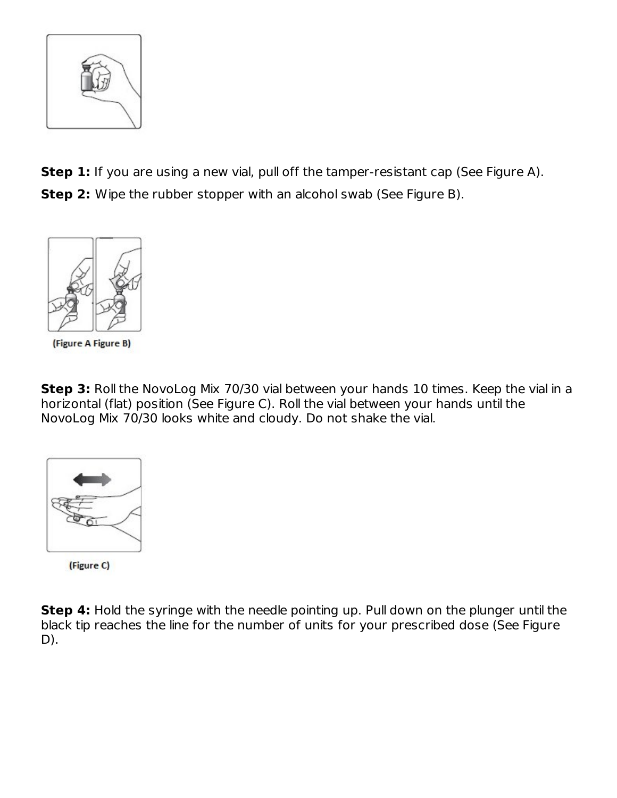

**Step 1:** If you are using a new vial, pull off the tamper-resistant cap (See Figure A). **Step 2:** Wipe the rubber stopper with an alcohol swab (See Figure B).



(Figure A Figure B)

**Step 3:** Roll the NovoLog Mix 70/30 vial between your hands 10 times. Keep the vial in a horizontal (flat) position (See Figure C). Roll the vial between your hands until the NovoLog Mix 70/30 looks white and cloudy. Do not shake the vial.



(Figure C)

**Step 4:** Hold the syringe with the needle pointing up. Pull down on the plunger until the black tip reaches the line for the number of units for your prescribed dose (See Figure D).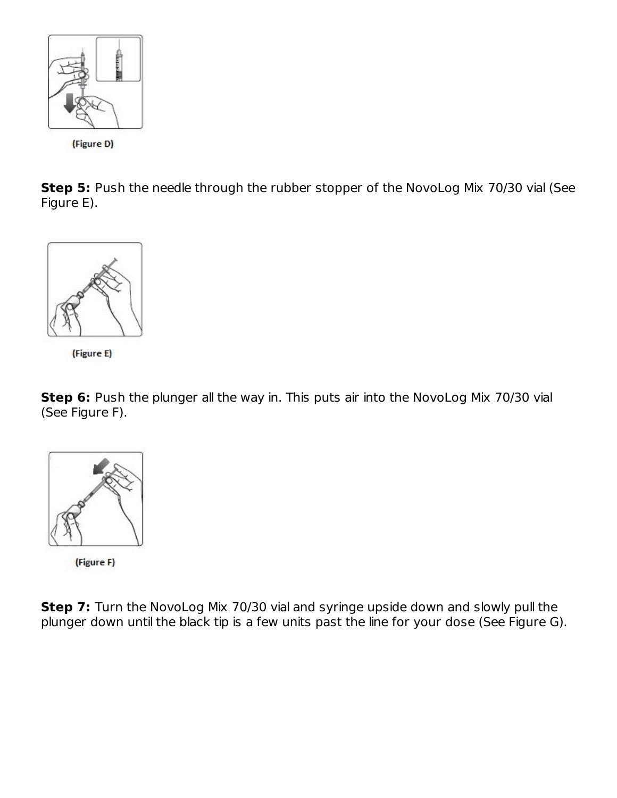

(Figure D)

**Step 5:** Push the needle through the rubber stopper of the NovoLog Mix 70/30 vial (See Figure E).





**Step 6:** Push the plunger all the way in. This puts air into the NovoLog Mix 70/30 vial (See Figure F).



(Figure F)

**Step 7:** Turn the NovoLog Mix 70/30 vial and syringe upside down and slowly pull the plunger down until the black tip is a few units past the line for your dose (See Figure G).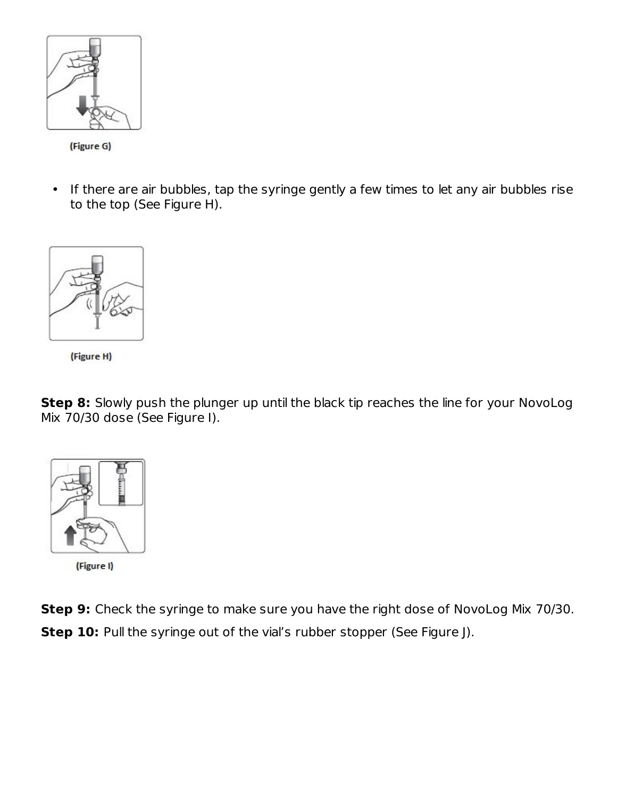

(Figure G)

• If there are air bubbles, tap the syringe gently a few times to let any air bubbles rise to the top (See Figure H).



(Figure H)

**Step 8:** Slowly push the plunger up until the black tip reaches the line for your NovoLog Mix 70/30 dose (See Figure I).



(Figure I)

**Step 9:** Check the syringe to make sure you have the right dose of NovoLog Mix 70/30. **Step 10:** Pull the syringe out of the vial's rubber stopper (See Figure J).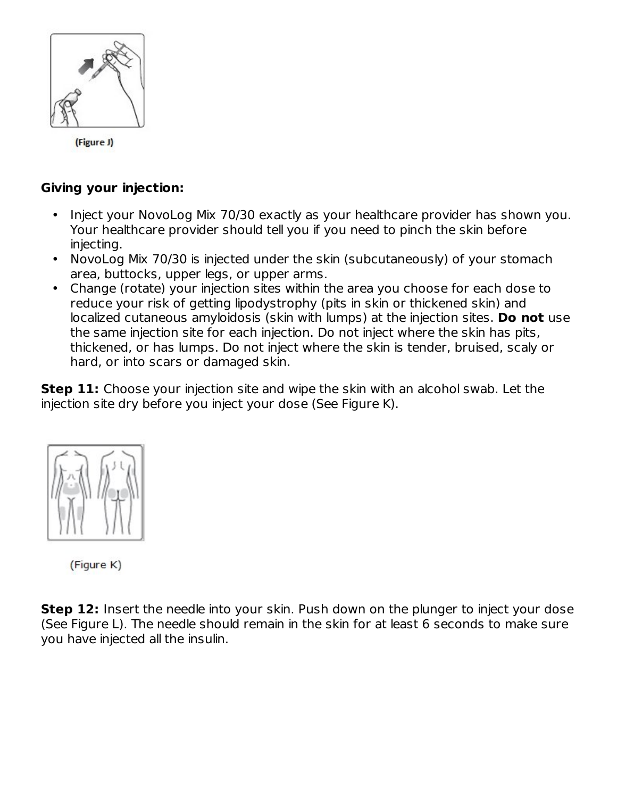

(Figure J)

#### **Giving your injection:**

- Inject your NovoLog Mix 70/30 exactly as your healthcare provider has shown you. Your healthcare provider should tell you if you need to pinch the skin before injecting.
- NovoLog Mix 70/30 is injected under the skin (subcutaneously) of your stomach area, buttocks, upper legs, or upper arms.
- Change (rotate) your injection sites within the area you choose for each dose to reduce your risk of getting lipodystrophy (pits in skin or thickened skin) and localized cutaneous amyloidosis (skin with lumps) at the injection sites. **Do not** use the same injection site for each injection. Do not inject where the skin has pits, thickened, or has lumps. Do not inject where the skin is tender, bruised, scaly or hard, or into scars or damaged skin.

**Step 11:** Choose your injection site and wipe the skin with an alcohol swab. Let the injection site dry before you inject your dose (See Figure K).



(Figure K)

**Step 12:** Insert the needle into your skin. Push down on the plunger to inject your dose (See Figure L). The needle should remain in the skin for at least 6 seconds to make sure you have injected all the insulin.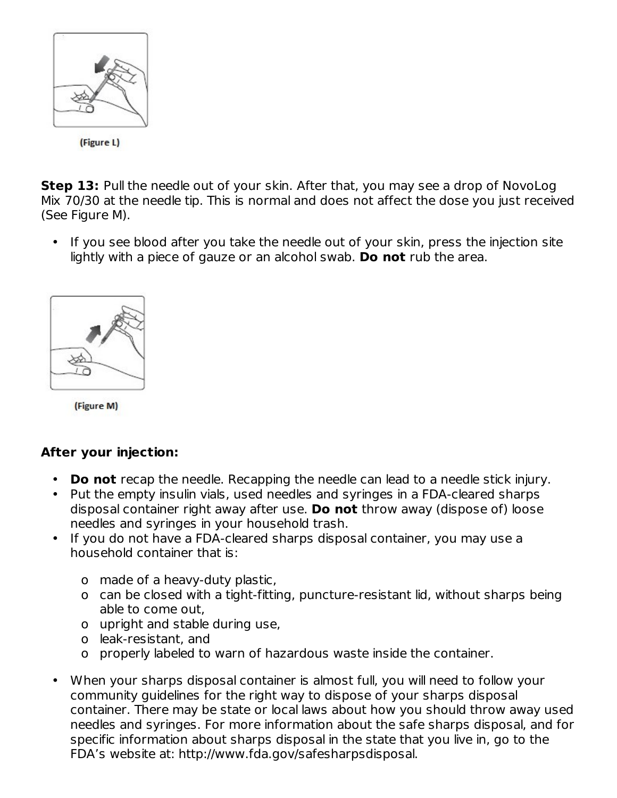

**Step 13:** Pull the needle out of your skin. After that, you may see a drop of NovoLog Mix 70/30 at the needle tip. This is normal and does not affect the dose you just received (See Figure M).

• If you see blood after you take the needle out of your skin, press the injection site lightly with a piece of gauze or an alcohol swab. **Do not** rub the area.



(Figure M)

# **After your injection:**

- **Do not** recap the needle. Recapping the needle can lead to a needle stick injury.
- Put the empty insulin vials, used needles and syringes in a FDA-cleared sharps disposal container right away after use. **Do not** throw away (dispose of) loose needles and syringes in your household trash.
- If you do not have a FDA-cleared sharps disposal container, you may use a household container that is:
	- o made of a heavy-duty plastic,
	- o can be closed with a tight-fitting, puncture-resistant lid, without sharps being able to come out,
	- o upright and stable during use,
	- o leak-resistant, and
	- o properly labeled to warn of hazardous waste inside the container.
- When your sharps disposal container is almost full, you will need to follow your community guidelines for the right way to dispose of your sharps disposal container. There may be state or local laws about how you should throw away used needles and syringes. For more information about the safe sharps disposal, and for specific information about sharps disposal in the state that you live in, go to the FDA's website at: http://www.fda.gov/safesharpsdisposal.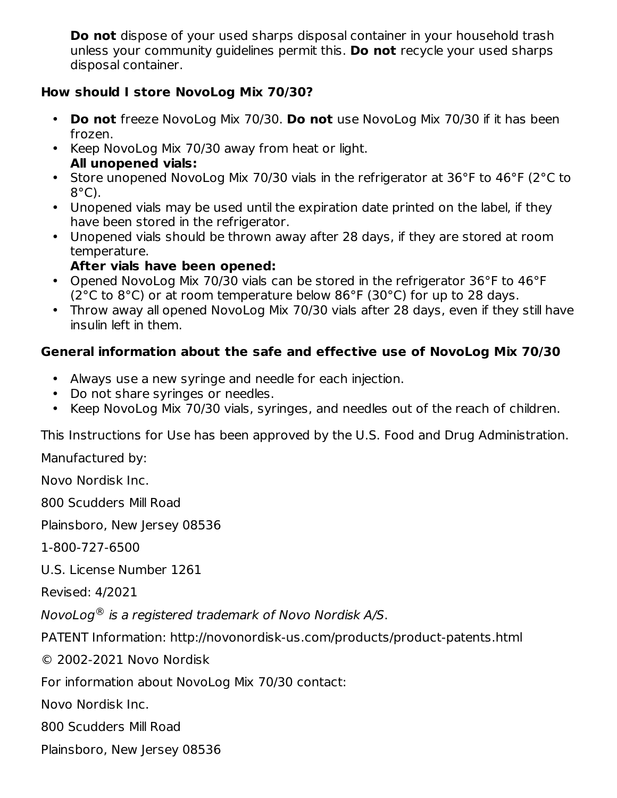**Do not** dispose of your used sharps disposal container in your household trash unless your community guidelines permit this. **Do not** recycle your used sharps disposal container.

#### **How should I store NovoLog Mix 70/30?**

- **Do not** freeze NovoLog Mix 70/30. **Do not** use NovoLog Mix 70/30 if it has been frozen.
- Keep NovoLog Mix 70/30 away from heat or light. **All unopened vials:**
- Store unopened NovoLog Mix 70/30 vials in the refrigerator at 36°F to 46°F (2°C to 8°C).
- Unopened vials may be used until the expiration date printed on the label, if they have been stored in the refrigerator.
- Unopened vials should be thrown away after 28 days, if they are stored at room temperature.
	- **After vials have been opened:**
- Opened NovoLog Mix 70/30 vials can be stored in the refrigerator 36°F to 46°F (2°C to 8°C) or at room temperature below 86°F (30°C) for up to 28 days.
- Throw away all opened NovoLog Mix 70/30 vials after 28 days, even if they still have insulin left in them.

# **General information about the safe and effective use of NovoLog Mix 70/30**

- Always use a new syringe and needle for each injection.
- Do not share syringes or needles.
- Keep NovoLog Mix 70/30 vials, syringes, and needles out of the reach of children.

This Instructions for Use has been approved by the U.S. Food and Drug Administration.

Manufactured by:

Novo Nordisk Inc.

800 Scudders Mill Road

Plainsboro, New Jersey 08536

1-800-727-6500

U.S. License Number 1261

Revised: 4/2021

NovoLog $^\circledR$  is a registered trademark of Novo Nordisk A/S.

PATENT Information: http://novonordisk-us.com/products/product-patents.html

© 2002-2021 Novo Nordisk

For information about NovoLog Mix 70/30 contact:

Novo Nordisk Inc.

800 Scudders Mill Road

Plainsboro, New Jersey 08536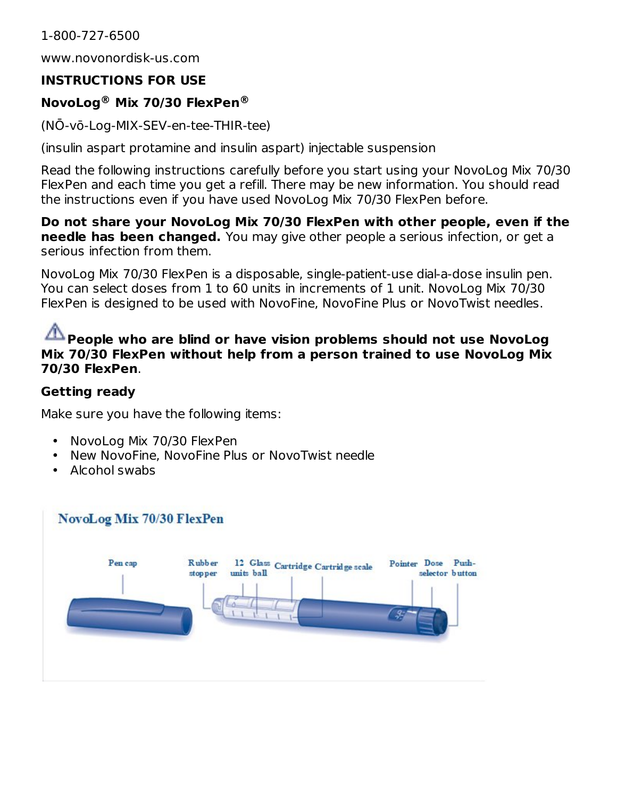#### 1-800-727-6500

www.novonordisk-us.com

#### **INSTRUCTIONS FOR USE**

#### **NovoLog Mix 70/30 FlexPen ® ®**

(NŌ-vō-Log-MIX-SEV-en-tee-THIR-tee)

(insulin aspart protamine and insulin aspart) injectable suspension

Read the following instructions carefully before you start using your NovoLog Mix 70/30 FlexPen and each time you get a refill. There may be new information. You should read the instructions even if you have used NovoLog Mix 70/30 FlexPen before.

**Do not share your NovoLog Mix 70/30 FlexPen with other people, even if the needle has been changed.** You may give other people a serious infection, or get a serious infection from them.

NovoLog Mix 70/30 FlexPen is a disposable, single-patient-use dial-a-dose insulin pen. You can select doses from 1 to 60 units in increments of 1 unit. NovoLog Mix 70/30 FlexPen is designed to be used with NovoFine, NovoFine Plus or NovoTwist needles.

#### **People who are blind or have vision problems should not use NovoLog Mix 70/30 FlexPen without help from a person trained to use NovoLog Mix 70/30 FlexPen**.

#### **Getting ready**

Make sure you have the following items:

- $\bullet$ NovoLog Mix 70/30 FlexPen
- New NovoFine, NovoFine Plus or NovoTwist needle
- Alcohol swabs

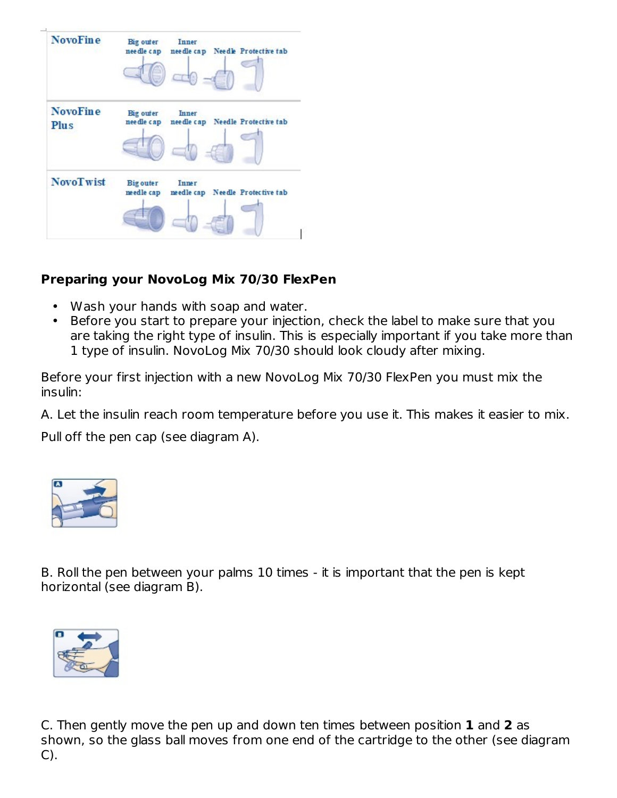| <b>NovoFine</b>         | Big outer<br>nee dle cap       | <b>Inner</b> | needle cap Needle Protective tab |
|-------------------------|--------------------------------|--------------|----------------------------------|
| <b>NovoFine</b><br>Plus | Big outer<br>nee dle cap       | <b>Inner</b> | needle cap Needle Protective tab |
| <b>NovoTwist</b>        | <b>Big outer</b><br>needle cap | <b>Inner</b> | needle cap Needle Protective tab |

### **Preparing your NovoLog Mix 70/30 FlexPen**

- Wash your hands with soap and water.
- Before you start to prepare your injection, check the label to make sure that you are taking the right type of insulin. This is especially important if you take more than 1 type of insulin. NovoLog Mix 70/30 should look cloudy after mixing.

Before your first injection with a new NovoLog Mix 70/30 FlexPen you must mix the insulin:

A. Let the insulin reach room temperature before you use it. This makes it easier to mix.

Pull off the pen cap (see diagram A).



B. Roll the pen between your palms 10 times - it is important that the pen is kept horizontal (see diagram B).



C. Then gently move the pen up and down ten times between position **1** and **2** as shown, so the glass ball moves from one end of the cartridge to the other (see diagram C).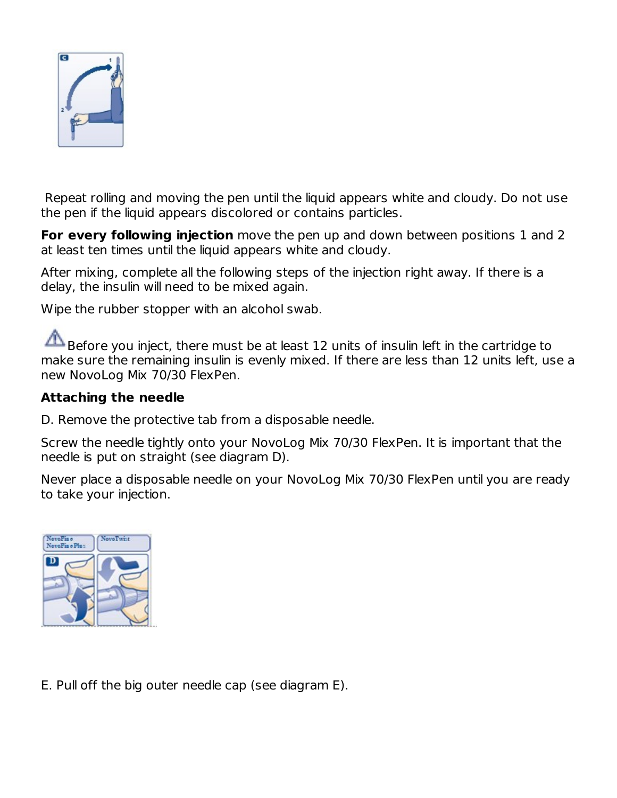

Repeat rolling and moving the pen until the liquid appears white and cloudy. Do not use the pen if the liquid appears discolored or contains particles.

**For every following injection** move the pen up and down between positions 1 and 2 at least ten times until the liquid appears white and cloudy.

After mixing, complete all the following steps of the injection right away. If there is a delay, the insulin will need to be mixed again.

Wipe the rubber stopper with an alcohol swab.

Before you inject, there must be at least 12 units of insulin left in the cartridge to make sure the remaining insulin is evenly mixed. If there are less than 12 units left, use a new NovoLog Mix 70/30 FlexPen.

#### **Attaching the needle**

D. Remove the protective tab from a disposable needle.

Screw the needle tightly onto your NovoLog Mix 70/30 FlexPen. It is important that the needle is put on straight (see diagram D).

Never place a disposable needle on your NovoLog Mix 70/30 FlexPen until you are ready to take your injection.



E. Pull off the big outer needle cap (see diagram E).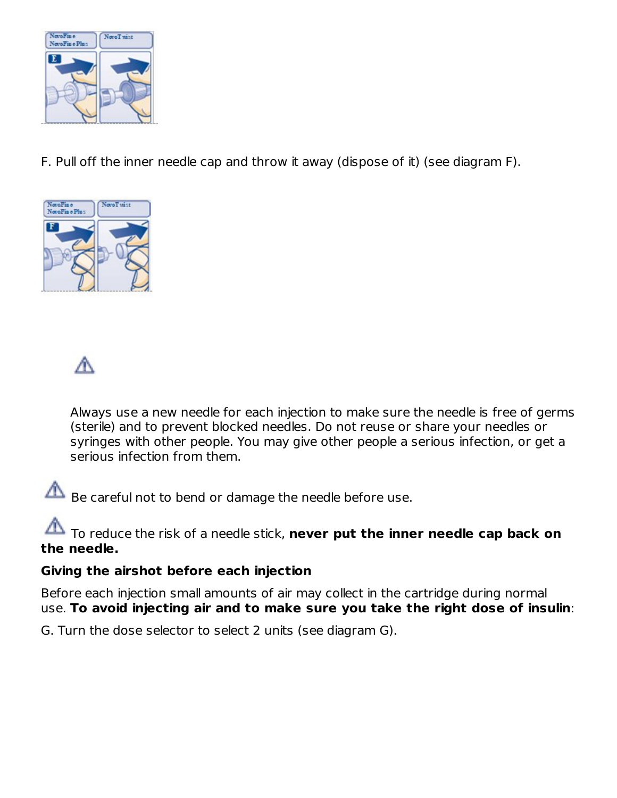

F. Pull off the inner needle cap and throw it away (dispose of it) (see diagram F).





Always use a new needle for each injection to make sure the needle is free of germs (sterile) and to prevent blocked needles. Do not reuse or share your needles or syringes with other people. You may give other people a serious infection, or get a serious infection from them.

Be careful not to bend or damage the needle before use.

To reduce the risk of a needle stick, **never put the inner needle cap back on the needle.**

#### **Giving the airshot before each injection**

Before each injection small amounts of air may collect in the cartridge during normal use. **To avoid injecting air and to make sure you take the right dose of insulin**:

G. Turn the dose selector to select 2 units (see diagram G).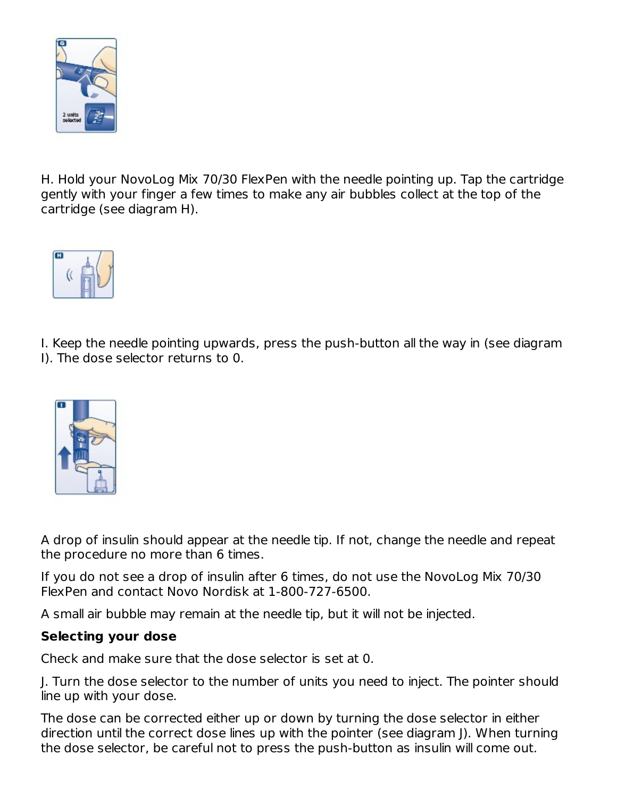

H. Hold your NovoLog Mix 70/30 FlexPen with the needle pointing up. Tap the cartridge gently with your finger a few times to make any air bubbles collect at the top of the cartridge (see diagram H).



I. Keep the needle pointing upwards, press the push-button all the way in (see diagram I). The dose selector returns to 0.



A drop of insulin should appear at the needle tip. If not, change the needle and repeat the procedure no more than 6 times.

If you do not see a drop of insulin after 6 times, do not use the NovoLog Mix 70/30 FlexPen and contact Novo Nordisk at 1-800-727-6500.

A small air bubble may remain at the needle tip, but it will not be injected.

#### **Selecting your dose**

Check and make sure that the dose selector is set at 0.

J. Turn the dose selector to the number of units you need to inject. The pointer should line up with your dose.

The dose can be corrected either up or down by turning the dose selector in either direction until the correct dose lines up with the pointer (see diagram J). When turning the dose selector, be careful not to press the push-button as insulin will come out.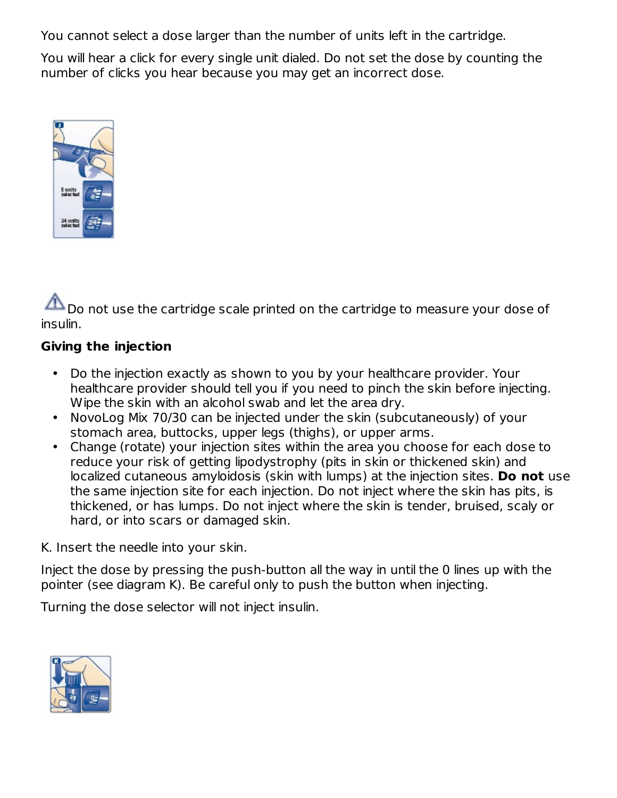You cannot select a dose larger than the number of units left in the cartridge.

You will hear a click for every single unit dialed. Do not set the dose by counting the number of clicks you hear because you may get an incorrect dose.



Do not use the cartridge scale printed on the cartridge to measure your dose of insulin.

#### **Giving the injection**

- Do the injection exactly as shown to you by your healthcare provider. Your healthcare provider should tell you if you need to pinch the skin before injecting. Wipe the skin with an alcohol swab and let the area dry.
- NovoLog Mix 70/30 can be injected under the skin (subcutaneously) of your stomach area, buttocks, upper legs (thighs), or upper arms.
- Change (rotate) your injection sites within the area you choose for each dose to reduce your risk of getting lipodystrophy (pits in skin or thickened skin) and localized cutaneous amyloidosis (skin with lumps) at the injection sites. **Do not** use the same injection site for each injection. Do not inject where the skin has pits, is thickened, or has lumps. Do not inject where the skin is tender, bruised, scaly or hard, or into scars or damaged skin.

K. Insert the needle into your skin.

Inject the dose by pressing the push-button all the way in until the 0 lines up with the pointer (see diagram K). Be careful only to push the button when injecting.

Turning the dose selector will not inject insulin.

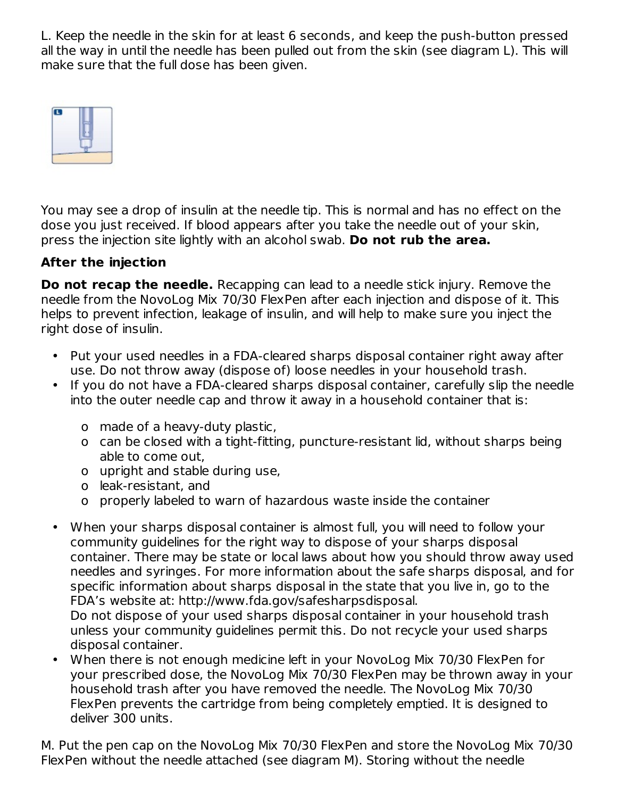L. Keep the needle in the skin for at least 6 seconds, and keep the push-button pressed all the way in until the needle has been pulled out from the skin (see diagram L). This will make sure that the full dose has been given.



You may see a drop of insulin at the needle tip. This is normal and has no effect on the dose you just received. If blood appears after you take the needle out of your skin, press the injection site lightly with an alcohol swab. **Do not rub the area.**

### **After the injection**

**Do not recap the needle.** Recapping can lead to a needle stick injury. Remove the needle from the NovoLog Mix 70/30 FlexPen after each injection and dispose of it. This helps to prevent infection, leakage of insulin, and will help to make sure you inject the right dose of insulin.

- Put your used needles in a FDA-cleared sharps disposal container right away after use. Do not throw away (dispose of) loose needles in your household trash.
- If you do not have a FDA-cleared sharps disposal container, carefully slip the needle into the outer needle cap and throw it away in a household container that is:
	- o made of a heavy-duty plastic,
	- o can be closed with a tight-fitting, puncture-resistant lid, without sharps being able to come out,
	- o upright and stable during use,
	- o leak-resistant, and
	- o properly labeled to warn of hazardous waste inside the container
- When your sharps disposal container is almost full, you will need to follow your community guidelines for the right way to dispose of your sharps disposal container. There may be state or local laws about how you should throw away used needles and syringes. For more information about the safe sharps disposal, and for specific information about sharps disposal in the state that you live in, go to the FDA's website at: http://www.fda.gov/safesharpsdisposal. Do not dispose of your used sharps disposal container in your household trash unless your community guidelines permit this. Do not recycle your used sharps disposal container.
- When there is not enough medicine left in your NovoLog Mix 70/30 FlexPen for your prescribed dose, the NovoLog Mix 70/30 FlexPen may be thrown away in your household trash after you have removed the needle. The NovoLog Mix 70/30 FlexPen prevents the cartridge from being completely emptied. It is designed to deliver 300 units.

M. Put the pen cap on the NovoLog Mix 70/30 FlexPen and store the NovoLog Mix 70/30 FlexPen without the needle attached (see diagram M). Storing without the needle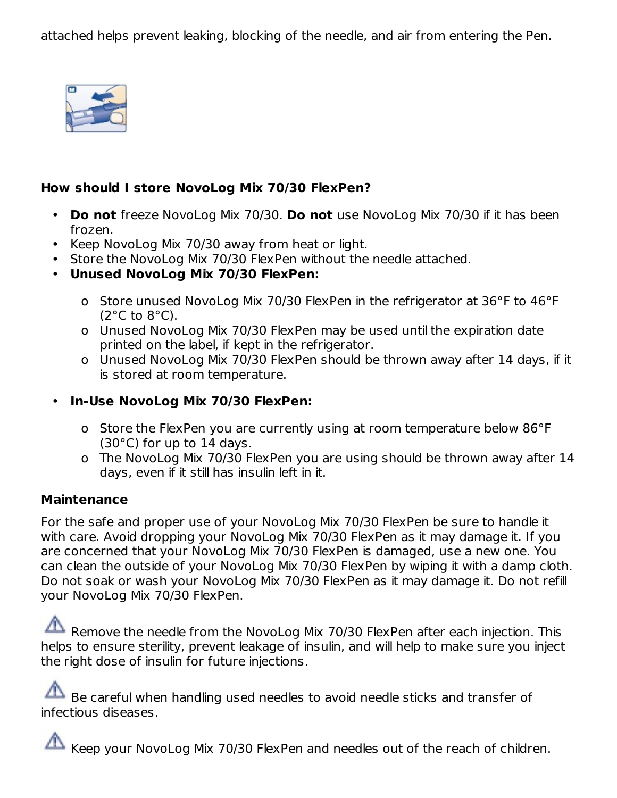attached helps prevent leaking, blocking of the needle, and air from entering the Pen.



#### **How should I store NovoLog Mix 70/30 FlexPen?**

- **Do not** freeze NovoLog Mix 70/30. **Do not** use NovoLog Mix 70/30 if it has been frozen.
- Keep NovoLog Mix 70/30 away from heat or light.
- Store the NovoLog Mix 70/30 FlexPen without the needle attached.
- **Unused NovoLog Mix 70/30 FlexPen:**
	- o Store unused NovoLog Mix 70/30 FlexPen in the refrigerator at 36°F to 46°F  $(2^{\circ}C \text{ to } 8^{\circ}C).$
	- o Unused NovoLog Mix 70/30 FlexPen may be used until the expiration date printed on the label, if kept in the refrigerator.
	- o Unused NovoLog Mix 70/30 FlexPen should be thrown away after 14 days, if it is stored at room temperature.
- **In-Use NovoLog Mix 70/30 FlexPen:**
	- o Store the FlexPen you are currently using at room temperature below 86°F (30°C) for up to 14 days.
	- o The NovoLog Mix 70/30 FlexPen you are using should be thrown away after 14 days, even if it still has insulin left in it.

#### **Maintenance**

For the safe and proper use of your NovoLog Mix 70/30 FlexPen be sure to handle it with care. Avoid dropping your NovoLog Mix 70/30 FlexPen as it may damage it. If you are concerned that your NovoLog Mix 70/30 FlexPen is damaged, use a new one. You can clean the outside of your NovoLog Mix 70/30 FlexPen by wiping it with a damp cloth. Do not soak or wash your NovoLog Mix 70/30 FlexPen as it may damage it. Do not refill your NovoLog Mix 70/30 FlexPen.

Remove the needle from the NovoLog Mix 70/30 FlexPen after each injection. This helps to ensure sterility, prevent leakage of insulin, and will help to make sure you inject the right dose of insulin for future injections.

Be careful when handling used needles to avoid needle sticks and transfer of infectious diseases.

Keep your NovoLog Mix 70/30 FlexPen and needles out of the reach of children.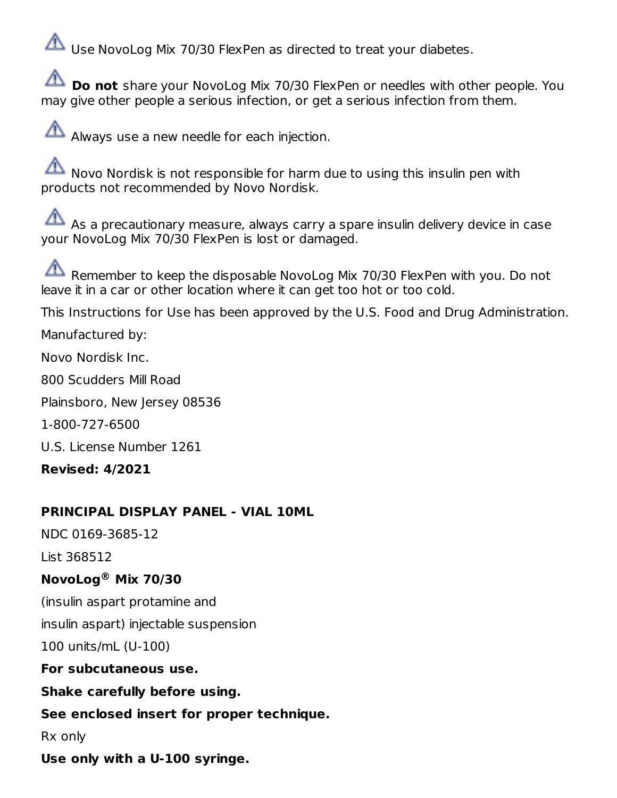Use NovoLog Mix 70/30 FlexPen as directed to treat your diabetes.

**Do not** share your NovoLog Mix 70/30 FlexPen or needles with other people. You may give other people a serious infection, or get a serious infection from them.

Always use a new needle for each injection.

 $\sum_{n=1}^{\infty}$  Novo Nordisk is not responsible for harm due to using this insulin pen with products not recommended by Novo Nordisk.

As a precautionary measure, always carry a spare insulin delivery device in case your NovoLog Mix 70/30 FlexPen is lost or damaged.

Remember to keep the disposable NovoLog Mix 70/30 FlexPen with you. Do not leave it in a car or other location where it can get too hot or too cold.

This Instructions for Use has been approved by the U.S. Food and Drug Administration.

Manufactured by:

Novo Nordisk Inc.

800 Scudders Mill Road

Plainsboro, New Jersey 08536

1-800-727-6500

U.S. License Number 1261

**Revised: 4/2021**

#### **PRINCIPAL DISPLAY PANEL - VIAL 10ML**

NDC 0169-3685-12

List 368512

### **NovoLog Mix 70/30 ®**

(insulin aspart protamine and

insulin aspart) injectable suspension

100 units/mL (U-100)

**For subcutaneous use.**

### **Shake carefully before using.**

### **See enclosed insert for proper technique.**

Rx only

**Use only with a U-100 syringe.**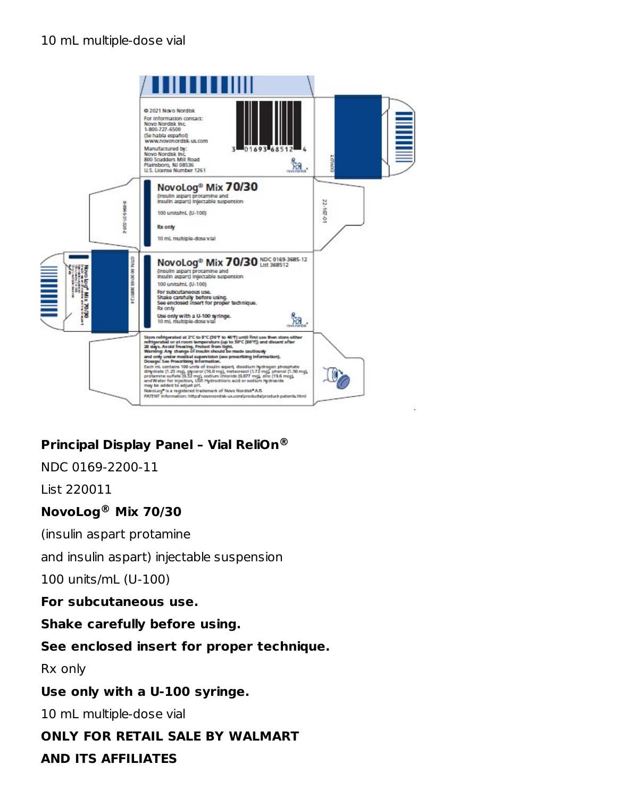#### 10 mL multiple-dose vial



# **Principal Display Panel – Vial ReliOn ®**

NDC 0169-2200-11

List 220011

#### **NovoLog Mix 70/30 ®**

(insulin aspart protamine

and insulin aspart) injectable suspension

100 units/mL (U-100)

**For subcutaneous use.**

**Shake carefully before using.**

#### **See enclosed insert for proper technique.**

Rx only

#### **Use only with a U-100 syringe.**

10 mL multiple-dose vial

#### **ONLY FOR RETAIL SALE BY WALMART**

#### **AND ITS AFFILIATES**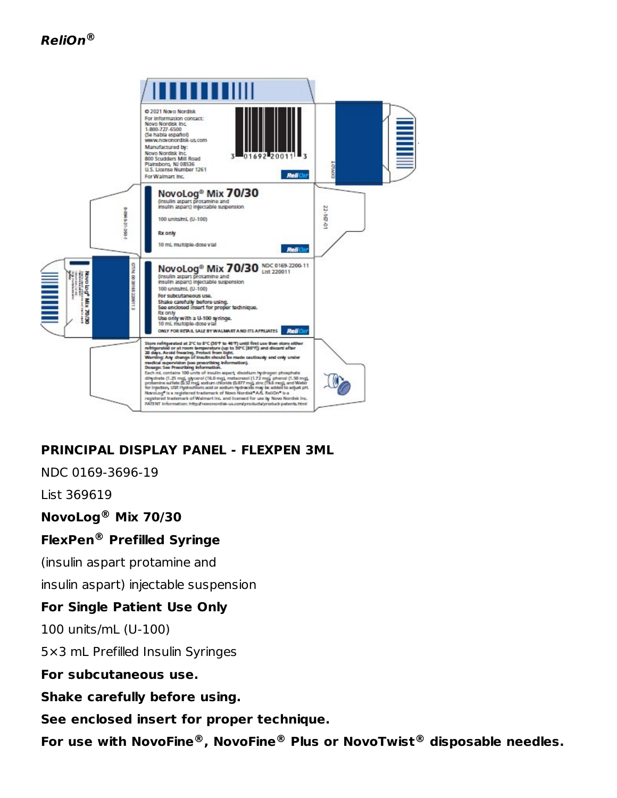

# **PRINCIPAL DISPLAY PANEL - FLEXPEN 3ML**

NDC 0169-3696-19

List 369619

**NovoLog Mix 70/30 ®**

### **FlexPen Prefilled Syringe ®**

(insulin aspart protamine and

insulin aspart) injectable suspension

### **For Single Patient Use Only**

100 units/mL (U-100)

5×3 mL Prefilled Insulin Syringes

**For subcutaneous use.**

**Shake carefully before using.**

**See enclosed insert for proper technique.**

**For use with NovoFine , NovoFine Plus or NovoTwist disposable needles. ® ® ®**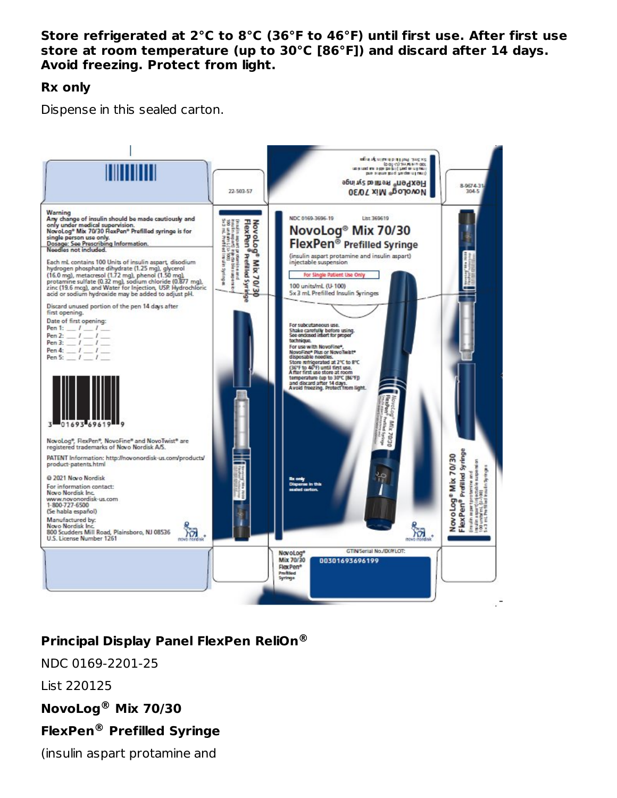#### **Store refrigerated at 2°C to 8°C (36°F to 46°F) until first use. After first use store at room temperature (up to 30°C [86°F]) and discard after 14 days. Avoid freezing. Protect from light.**

#### **Rx only**

Dispense in this sealed carton.



# **Principal Display Panel FlexPen ReliOn ®**

NDC 0169-2201-25

List 220125

**NovoLog Mix 70/30 ®**

### **FlexPen Prefilled Syringe ®**

(insulin aspart protamine and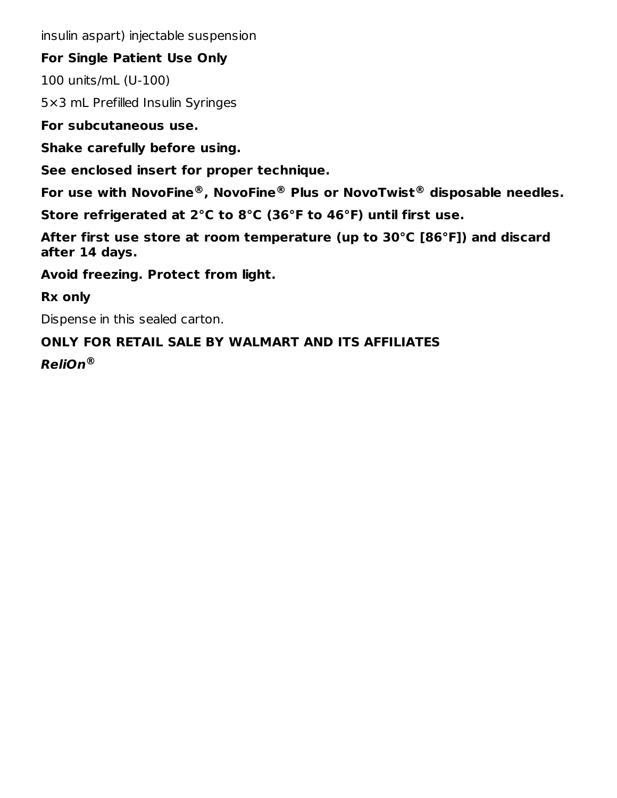insulin aspart) injectable suspension

#### **For Single Patient Use Only**

100 units/mL (U-100)

5×3 mL Prefilled Insulin Syringes

**For subcutaneous use.**

**Shake carefully before using.**

**See enclosed insert for proper technique.**

**For use with NovoFine , NovoFine Plus or NovoTwist disposable needles. ® ® ®**

**Store refrigerated at 2°C to 8°C (36°F to 46°F) until first use.**

**After first use store at room temperature (up to 30°C [86°F]) and discard after 14 days.**

**Avoid freezing. Protect from light.**

**Rx only**

Dispense in this sealed carton.

# **ONLY FOR RETAIL SALE BY WALMART AND ITS AFFILIATES**

**ReliOn ®**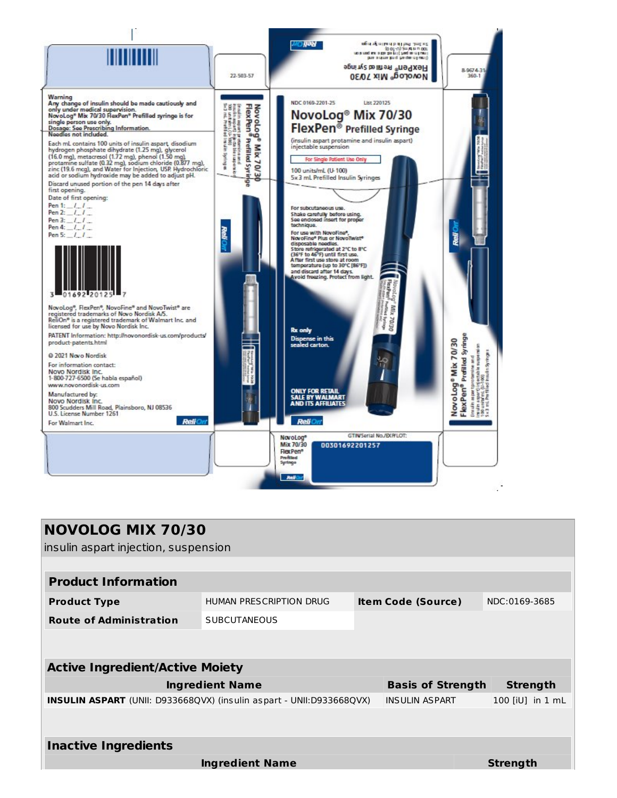

| <b>NOVOLOG MIX 70/30</b>                                                    |                         |  |                           |                  |  |  |
|-----------------------------------------------------------------------------|-------------------------|--|---------------------------|------------------|--|--|
| insulin aspart injection, suspension                                        |                         |  |                           |                  |  |  |
|                                                                             |                         |  |                           |                  |  |  |
| <b>Product Information</b>                                                  |                         |  |                           |                  |  |  |
| <b>Product Type</b>                                                         | HUMAN PRESCRIPTION DRUG |  | <b>Item Code (Source)</b> | NDC:0169-3685    |  |  |
| <b>Route of Administration</b>                                              | <b>SUBCUTANEOUS</b>     |  |                           |                  |  |  |
|                                                                             |                         |  |                           |                  |  |  |
| <b>Active Ingredient/Active Moiety</b>                                      |                         |  |                           |                  |  |  |
|                                                                             |                         |  |                           |                  |  |  |
|                                                                             | <b>Ingredient Name</b>  |  | <b>Basis of Strength</b>  | <b>Strength</b>  |  |  |
| <b>INSULIN ASPART</b> (UNII: D933668QVX) (insulin aspart - UNII:D933668QVX) |                         |  | <b>INSULIN ASPART</b>     | 100 [iU] in 1 mL |  |  |
|                                                                             |                         |  |                           |                  |  |  |
| <b>Inactive Ingredients</b>                                                 |                         |  |                           |                  |  |  |
|                                                                             |                         |  |                           |                  |  |  |
|                                                                             | <b>Ingredient Name</b>  |  |                           | <b>Strength</b>  |  |  |
|                                                                             |                         |  |                           |                  |  |  |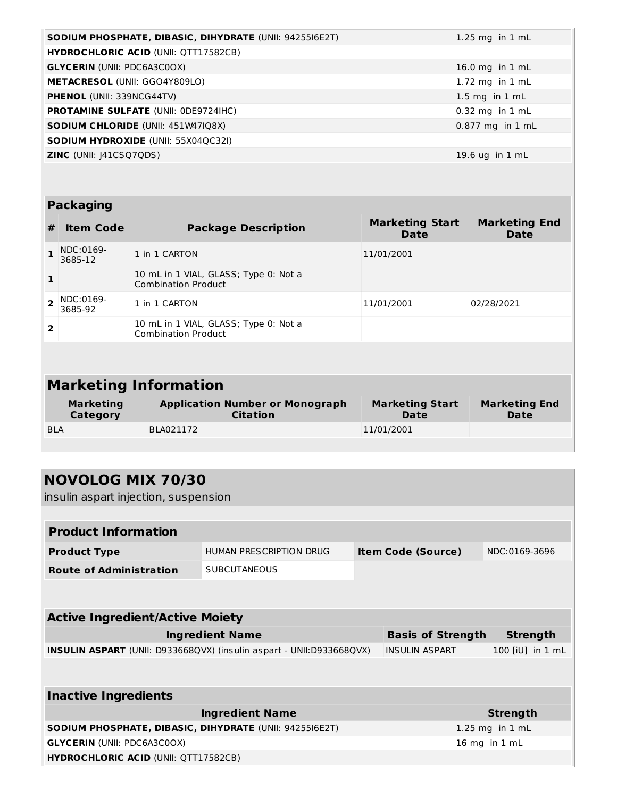| SODIUM PHOSPHATE, DIBASIC, DIHYDRATE (UNII: 9425516E2T) | 1.25 mg in $1$ mL  |
|---------------------------------------------------------|--------------------|
| <b>HYDROCHLORIC ACID (UNII: QTT17582CB)</b>             |                    |
| <b>GLYCERIN</b> (UNII: PDC6A3C0OX)                      | 16.0 mg in $1$ mL  |
| <b>METACRESOL (UNII: GGO4Y809LO)</b>                    | 1.72 mg in $1$ mL  |
| <b>PHENOL</b> (UNII: 339NCG44TV)                        | $1.5$ mg in $1$ mL |
| <b>PROTAMINE SULFATE (UNII: 0DE9724IHC)</b>             | $0.32$ mg in 1 mL  |
| <b>SODIUM CHLORIDE (UNII: 451W47IQ8X)</b>               | $0.877$ mg in 1 mL |
| <b>SODIUM HYDROXIDE (UNII: 55X04QC32I)</b>              |                    |
| <b>ZINC</b> (UNII: $ 41CSQ7QDS\rangle$ )                | 19.6 $uq$ in 1 mL  |

# **Packaging**

| #                            | <b>Item Code</b>             | <b>Package Description</b>                                          | <b>Marketing Start</b><br>Date | <b>Marketing End</b><br><b>Date</b> |  |
|------------------------------|------------------------------|---------------------------------------------------------------------|--------------------------------|-------------------------------------|--|
|                              | NDC:0169-<br>3685-12         | 1 in 1 CARTON                                                       | 11/01/2001                     |                                     |  |
| 1                            |                              | 10 mL in 1 VIAL, GLASS; Type 0: Not a<br><b>Combination Product</b> |                                |                                     |  |
| $\overline{2}$               | NDC:0169-<br>3685-92         | 1 in 1 CARTON                                                       | 11/01/2001                     | 02/28/2021                          |  |
| $\overline{2}$               |                              | 10 mL in 1 VIAL, GLASS; Type 0: Not a<br><b>Combination Product</b> |                                |                                     |  |
|                              |                              |                                                                     |                                |                                     |  |
| <b>Marketing Information</b> |                              |                                                                     |                                |                                     |  |
|                              | <b>Marketing</b><br>Category | <b>Application Number or Monograph</b><br><b>Citation</b>           | <b>Marketing Start</b><br>Date | <b>Marketing End</b><br>Date        |  |
| <b>BLA</b>                   |                              | BLA021172                                                           | 11/01/2001                     |                                     |  |

| <b>NOVOLOG MIX 70/30</b><br>insulin aspart injection, suspension     |                         |  |                           |  |                     |  |
|----------------------------------------------------------------------|-------------------------|--|---------------------------|--|---------------------|--|
|                                                                      |                         |  |                           |  |                     |  |
| <b>Product Information</b>                                           |                         |  |                           |  |                     |  |
| <b>Product Type</b>                                                  | HUMAN PRESCRIPTION DRUG |  | <b>Item Code (Source)</b> |  | NDC:0169-3696       |  |
| <b>Route of Administration</b>                                       | <b>SUBCUTANEOUS</b>     |  |                           |  |                     |  |
|                                                                      |                         |  |                           |  |                     |  |
| <b>Active Ingredient/Active Moiety</b>                               |                         |  |                           |  |                     |  |
|                                                                      | <b>Ingredient Name</b>  |  | <b>Basis of Strength</b>  |  | <b>Strength</b>     |  |
| INSULIN ASPART (UNII: D933668QVX) (insulin aspart - UNII:D933668QVX) |                         |  | <b>INSULIN ASPART</b>     |  | 100 [iU] in 1 mL    |  |
|                                                                      |                         |  |                           |  |                     |  |
| <b>Inactive Ingredients</b>                                          |                         |  |                           |  |                     |  |
| <b>Ingredient Name</b><br><b>Strength</b>                            |                         |  |                           |  |                     |  |
| <b>SODIUM PHOSPHATE, DIBASIC, DIHYDRATE (UNII: 9425516E2T)</b>       |                         |  |                           |  | $1.25$ mg in $1$ mL |  |
| <b>GLYCERIN (UNII: PDC6A3C0OX)</b>                                   |                         |  |                           |  | 16 mg in 1 mL       |  |
| <b>HYDROCHLORIC ACID (UNII: QTT17582CB)</b>                          |                         |  |                           |  |                     |  |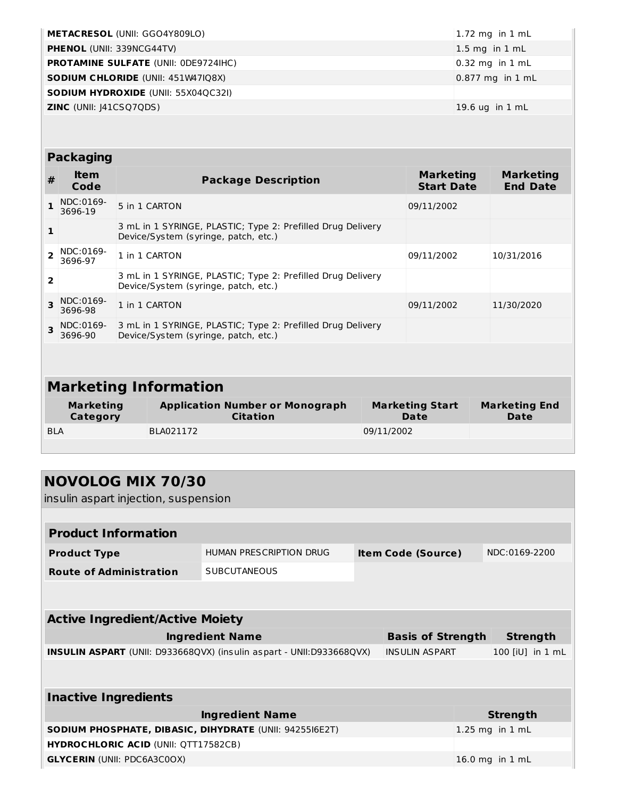| <b>METACRESOL (UNII: GGO4Y809LO)</b>        | 1.72 mg in $1 \text{ mL}$ |
|---------------------------------------------|---------------------------|
| <b>PHENOL (UNII: 339NCG44TV)</b>            | $1.5$ mg in $1$ mL        |
| <b>PROTAMINE SULFATE (UNII: ODE9724IHC)</b> | $0.32$ mg in 1 mL         |
| <b>SODIUM CHLORIDE (UNII: 451W47IQ8X)</b>   | 0.877 mg in 1 mL          |
| <b>SODIUM HYDROXIDE (UNII: 55X04QC32I)</b>  |                           |
| <b>ZINC</b> (UNII: J41CSQ7QDS)              | 19.6 ug in 1 mL           |

#### **Packaging**

| #                            | <b>Item</b><br>Code          | <b>Package Description</b>                                                                          |  | <b>Marketing</b><br><b>Start Date</b> | <b>Marketing</b><br><b>End Date</b> |
|------------------------------|------------------------------|-----------------------------------------------------------------------------------------------------|--|---------------------------------------|-------------------------------------|
|                              | NDC:0169-<br>3696-19         | 5 in 1 CARTON                                                                                       |  | 09/11/2002                            |                                     |
| 1                            |                              | 3 mL in 1 SYRINGE, PLASTIC; Type 2: Prefilled Drug Delivery<br>Device/System (syringe, patch, etc.) |  |                                       |                                     |
| $\overline{\phantom{a}}$     | NDC:0169-<br>3696-97         | 1 in 1 CARTON                                                                                       |  | 09/11/2002                            | 10/31/2016                          |
| 2                            |                              | 3 mL in 1 SYRINGE, PLASTIC; Type 2: Prefilled Drug Delivery<br>Device/System (syringe, patch, etc.) |  |                                       |                                     |
| $\overline{\mathbf{z}}$      | NDC:0169-<br>3696-98         | 1 in 1 CARTON                                                                                       |  | 09/11/2002                            | 11/30/2020                          |
| $\overline{\mathbf{z}}$      | NDC:0169-<br>3696-90         | 3 mL in 1 SYRINGE, PLASTIC; Type 2: Prefilled Drug Delivery<br>Device/System (syringe, patch, etc.) |  |                                       |                                     |
|                              |                              |                                                                                                     |  |                                       |                                     |
| <b>Marketing Information</b> |                              |                                                                                                     |  |                                       |                                     |
|                              | <b>Marketing</b><br>Category | <b>Application Number or Monograph</b><br>Citation                                                  |  | <b>Marketing Start</b><br>Date        | <b>Marketing End</b><br><b>Date</b> |

| -<br><b>Category</b> | . .<br>-<br><b>Citation</b> | -<br>Date  | -<br><b>Date</b> |
|----------------------|-----------------------------|------------|------------------|
| <b>BLA</b>           | BLA021172                   | 09/11/2002 |                  |
|                      |                             |            |                  |

| <b>NOVOLOG MIX 70/30</b>                                             |                         |                           |                     |
|----------------------------------------------------------------------|-------------------------|---------------------------|---------------------|
| insulin aspart injection, suspension                                 |                         |                           |                     |
|                                                                      |                         |                           |                     |
| <b>Product Information</b>                                           |                         |                           |                     |
| <b>Product Type</b>                                                  | HUMAN PRESCRIPTION DRUG | <b>Item Code (Source)</b> | NDC:0169-2200       |
| <b>Route of Administration</b>                                       | <b>SUBCUTANEOUS</b>     |                           |                     |
|                                                                      |                         |                           |                     |
|                                                                      |                         |                           |                     |
| <b>Active Ingredient/Active Moiety</b>                               |                         |                           |                     |
|                                                                      | <b>Ingredient Name</b>  | <b>Basis of Strength</b>  | <b>Strength</b>     |
| INSULIN ASPART (UNII: D933668QVX) (insulin aspart - UNII:D933668QVX) |                         | <b>INSULIN ASPART</b>     | 100 [iU] in 1 mL    |
|                                                                      |                         |                           |                     |
|                                                                      |                         |                           |                     |
| <b>Inactive Ingredients</b>                                          |                         |                           |                     |
|                                                                      | <b>Ingredient Name</b>  |                           | <b>Strength</b>     |
| <b>SODIUM PHOSPHATE, DIBASIC, DIHYDRATE (UNII: 9425516E2T)</b>       |                         |                           | $1.25$ mg in $1$ mL |
| <b>HYDROCHLORIC ACID (UNII: QTT17582CB)</b>                          |                         |                           |                     |
| <b>GLYCERIN (UNII: PDC6A3C0OX)</b>                                   |                         |                           | 16.0 mg in 1 mL     |
|                                                                      |                         |                           |                     |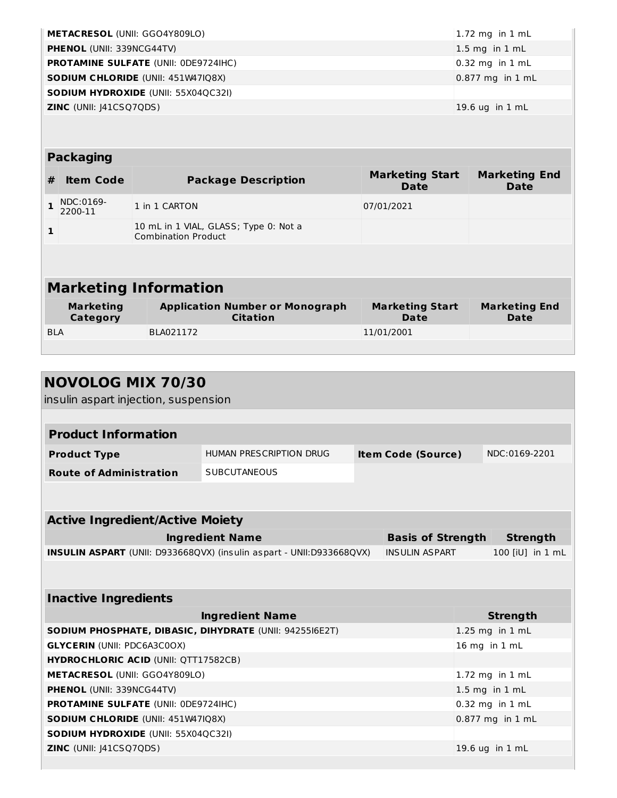| <b>METACRESOL (UNII: GGO4Y809LO)</b>        | 1.72 mg in $1$ mL  |
|---------------------------------------------|--------------------|
| <b>PHENOL (UNII: 339NCG44TV)</b>            | $1.5$ mg in 1 mL   |
| <b>PROTAMINE SULFATE (UNII: ODE9724IHC)</b> | $0.32$ mg in 1 mL  |
| <b>SODIUM CHLORIDE (UNII: 451W47IQ8X)</b>   | $0.877$ mg in 1 mL |
| <b>SODIUM HYDROXIDE (UNII: 55X04QC32I)</b>  |                    |
| <b>ZINC</b> (UNII: J41CSQ7QDS)              | $19.6$ ug in 1 mL  |
|                                             |                    |

#### **Packaging**

| #                            | <b>Item Code</b>             | <b>Package Description</b>                                          | <b>Marketing Start</b><br>Date | <b>Marketing End</b><br>Date |  |  |
|------------------------------|------------------------------|---------------------------------------------------------------------|--------------------------------|------------------------------|--|--|
|                              | NDC:0169-<br>2200-11         | 1 in 1 CARTON                                                       | 07/01/2021                     |                              |  |  |
| $\mathbf{1}$                 |                              | 10 mL in 1 VIAL, GLASS; Type 0: Not a<br><b>Combination Product</b> |                                |                              |  |  |
|                              |                              |                                                                     |                                |                              |  |  |
| <b>Marketing Information</b> |                              |                                                                     |                                |                              |  |  |
|                              | <b>Marketing</b><br>Category | <b>Application Number or Monograph</b><br><b>Citation</b>           | <b>Marketing Start</b><br>Date | <b>Marketing End</b><br>Date |  |  |

| <b>Category</b> | citation  | υаτе       | <b>Date</b> |
|-----------------|-----------|------------|-------------|
| <b>BLA</b>      | BLA021172 | 11/01/2001 |             |
|                 |           |            |             |

| <b>NOVOLOG MIX 70/30</b>                                             |                                |                           |                  |
|----------------------------------------------------------------------|--------------------------------|---------------------------|------------------|
| insulin aspart injection, suspension                                 |                                |                           |                  |
|                                                                      |                                |                           |                  |
| <b>Product Information</b>                                           |                                |                           |                  |
| <b>Product Type</b>                                                  | <b>HUMAN PRESCRIPTION DRUG</b> | <b>Item Code (Source)</b> | NDC:0169-2201    |
| <b>Route of Administration</b>                                       | <b>SUBCUTANEOUS</b>            |                           |                  |
|                                                                      |                                |                           |                  |
|                                                                      |                                |                           |                  |
| <b>Active Ingredient/Active Moiety</b>                               |                                |                           |                  |
|                                                                      | <b>Ingredient Name</b>         | <b>Basis of Strength</b>  | <b>Strength</b>  |
| INSULIN ASPART (UNII: D933668QVX) (insulin aspart - UNII:D933668QVX) |                                | <b>INSULIN ASPART</b>     | 100 [iU] in 1 mL |
|                                                                      |                                |                           |                  |
|                                                                      |                                |                           |                  |
| <b>Inactive Ingredients</b>                                          |                                |                           |                  |
|                                                                      | <b>Ingredient Name</b>         |                           | <b>Strength</b>  |
| SODIUM PHOSPHATE, DIBASIC, DIHYDRATE (UNII: 9425516E2T)              |                                |                           | 1.25 mg in 1 mL  |
| <b>GLYCERIN (UNII: PDC6A3C0OX)</b>                                   |                                |                           | 16 mg in 1 mL    |
| <b>HYDROCHLORIC ACID (UNII: QTT17582CB)</b>                          |                                |                           |                  |
| METACRESOL (UNII: GGO4Y809LO)                                        |                                |                           | 1.72 mg in 1 mL  |
| PHENOL (UNII: 339NCG44TV)                                            |                                |                           | 1.5 mg in 1 mL   |
| <b>PROTAMINE SULFATE (UNII: 0DE9724IHC)</b>                          |                                |                           | 0.32 mg in 1 mL  |
| <b>SODIUM CHLORIDE (UNII: 451W47IQ8X)</b>                            |                                |                           | 0.877 mg in 1 mL |
| <b>SODIUM HYDROXIDE (UNII: 55X04QC32I)</b>                           |                                |                           |                  |
| <b>ZINC</b> (UNII: 141CSQ7QDS)                                       |                                |                           | 19.6 ug in 1 mL  |
|                                                                      |                                |                           |                  |